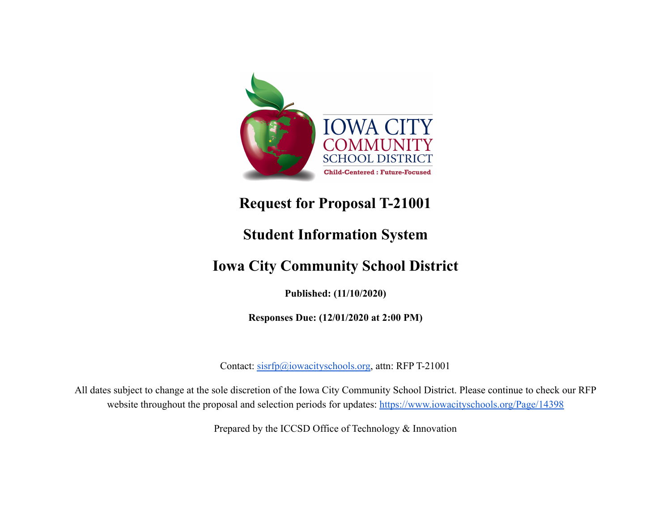

# **Request for Proposal T-21001**

# **Student Information System**

# **Iowa City Community School District**

**Published: (11/10/2020)**

**Responses Due: (12/01/2020 at 2:00 PM)**

Contact: [sisrfp@iowacityschools.org](mailto:sisrfp@iowacityschools.org), attn: RFP T-21001

All dates subject to change at the sole discretion of the Iowa City Community School District. Please continue to check our RFP website throughout the proposal and selection periods for updates: <https://www.iowacityschools.org/Page/14398>

Prepared by the ICCSD Office of Technology & Innovation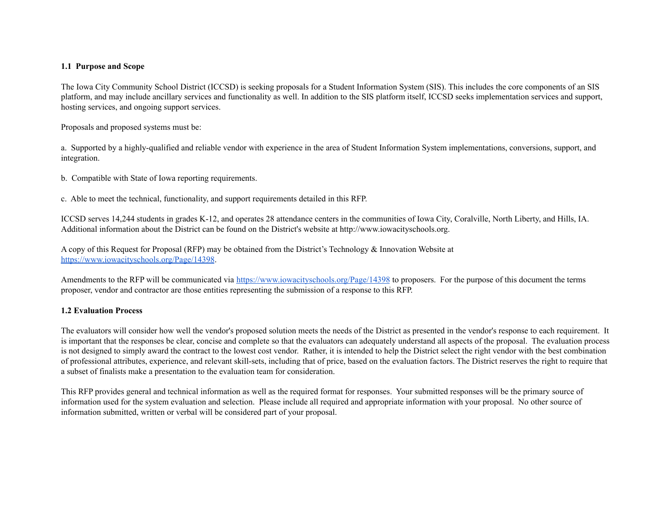### **1.1 Purpose and Scope**

 The Iowa City Community School District (ICCSD) is seeking proposals for a Student Information System (SIS). This includes the core components of an SIS platform, and may include ancillary services and functionality as well. In addition to the SIS platform itself, ICCSD seeks implementation services and support, hosting services, and ongoing support services.

Proposals and proposed systems must be:

 a. Supported by a highly-qualified and reliable vendor with experience in the area of Student Information System implementations, conversions, support, and integration.

b. Compatible with State of Iowa reporting requirements.

c. Able to meet the technical, functionality, and support requirements detailed in this RFP.

 ICCSD serves 14,244 students in grades K-12, and operates 28 attendance centers in the communities of Iowa City, Coralville, North Liberty, and Hills, IA. Additional information about the District can be found on the District's website at [http://www.iowacityschools.org.](http://www.iowacityschools.org)

 A copy of this Request for Proposal (RFP) may be obtained from the District's Technology & Innovation Website at <https://www.iowacityschools.org/Page/14398>.

Amendments to the RFP will be communicated via <https://www.iowacityschools.org/Page/14398> to proposers. For the purpose of this document the terms proposer, vendor and contractor are those entities representing the submission of a response to this RFP.

## **1.2 Evaluation Process**

 The evaluators will consider how well the vendor's proposed solution meets the needs of the District as presented in the vendor's response to each requirement. It is important that the responses be clear, concise and complete so that the evaluators can adequately understand all aspects of the proposal. The evaluation process is not designed to simply award the contract to the lowest cost vendor. Rather, it is intended to help the District select the right vendor with the best combination of professional attributes, experience, and relevant skill-sets, including that of price, based on the evaluation factors. The District reserves the right to require that a subset of finalists make a presentation to the evaluation team for consideration.

 This RFP provides general and technical information as well as the required format for responses. Your submitted responses will be the primary source of information used for the system evaluation and selection. Please include all required and appropriate information with your proposal. No other source of information submitted, written or verbal will be considered part of your proposal.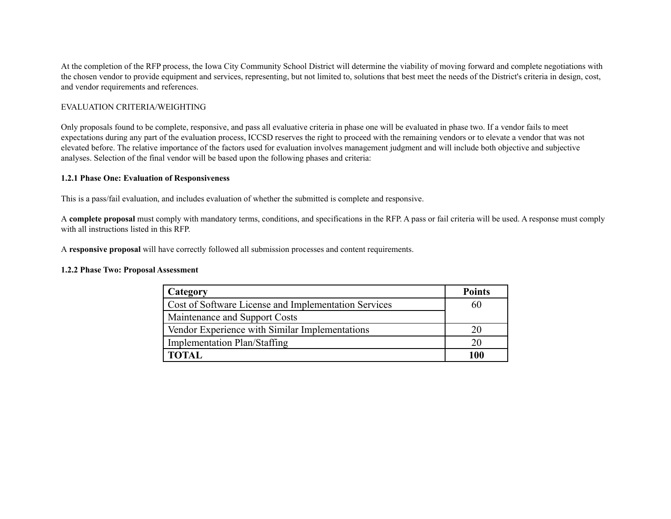At the completion of the RFP process, the Iowa City Community School District will determine the viability of moving forward and complete negotiations with the chosen vendor to provide equipment and services, representing, but not limited to, solutions that best meet the needs of the District's criteria in design, cost, and vendor requirements and references.

## EVALUATION CRITERIA/WEIGHTING

 Only proposals found to be complete, responsive, and pass all evaluative criteria in phase one will be evaluated in phase two. If a vendor fails to meet expectations during any part of the evaluation process, ICCSD reserves the right to proceed with the remaining vendors or to elevate a vendor that was not elevated before. The relative importance of the factors used for evaluation involves management judgment and will include both objective and subjective analyses. Selection of the final vendor will be based upon the following phases and criteria:

## **1.2.1 Phase One: Evaluation of Responsiveness**

This is a pass/fail evaluation, and includes evaluation of whether the submitted is complete and responsive.

 A **complete proposal** must comply with mandatory terms, conditions, and specifications in the RFP. A pass or fail criteria will be used. A response must comply with all instructions listed in this RFP.

A **responsive proposal** will have correctly followed all submission processes and content requirements.

#### **1.2.2 Phase Two: Proposal Assessment**

| Category                                             | <b>Points</b> |
|------------------------------------------------------|---------------|
| Cost of Software License and Implementation Services | 60            |
| Maintenance and Support Costs                        |               |
| Vendor Experience with Similar Implementations       |               |
| <b>Implementation Plan/Staffing</b>                  |               |
|                                                      | 100           |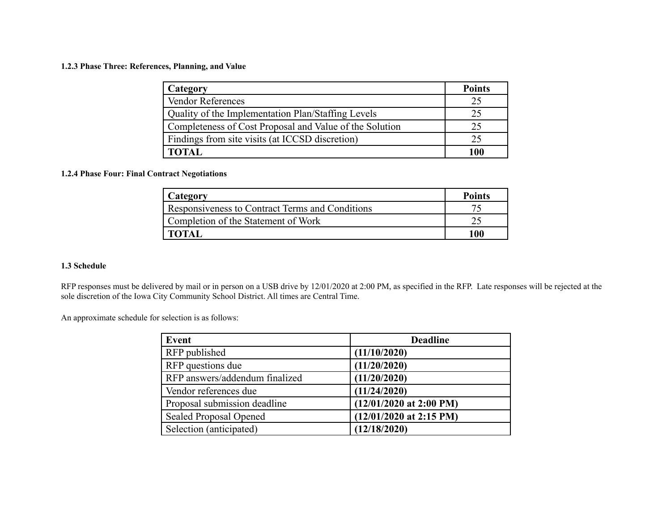#### **1.2.3 Phase Three: References, Planning, and Value**

| Category                                                | <b>Points</b> |
|---------------------------------------------------------|---------------|
| <b>Vendor References</b>                                | 25            |
| Quality of the Implementation Plan/Staffing Levels      | 25            |
| Completeness of Cost Proposal and Value of the Solution | 25            |
| Findings from site visits (at ICCSD discretion)         | 25            |
| <b>TOTAL</b>                                            | 100           |

### **1.2.4 Phase Four: Final Contract Negotiations**

| Category                                        | <b>Points</b> |
|-------------------------------------------------|---------------|
| Responsiveness to Contract Terms and Conditions |               |
| Completion of the Statement of Work             |               |
| <b>TOTAL</b>                                    | 100           |

## **1.3 Schedule**

 RFP responses must be delivered by mail or in person on a USB drive by 12/01/2020 at 2:00 PM, as specified in the RFP. Late responses will be rejected at the sole discretion of the Iowa City Community School District. All times are Central Time.

An approximate schedule for selection is as follows:

| Event                          | <b>Deadline</b>           |
|--------------------------------|---------------------------|
| RFP published                  | (11/10/2020)              |
| RFP questions due              | (11/20/2020)              |
| RFP answers/addendum finalized | (11/20/2020)              |
| Vendor references due          | (11/24/2020)              |
| Proposal submission deadline   | $(12/01/2020$ at 2:00 PM) |
| Sealed Proposal Opened         | $(12/01/2020$ at 2:15 PM) |
| Selection (anticipated)        | (12/18/2020)              |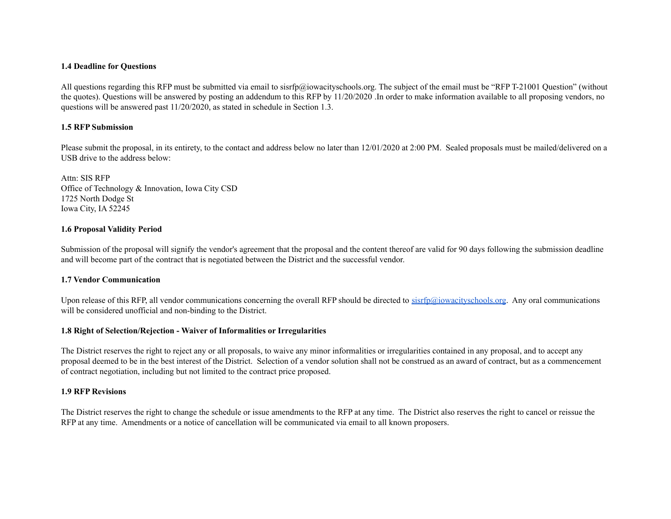#### **1.4 Deadline for Questions**

 All questions regarding this RFP must be submitted via email to [sisrfp@iowacityschools.org](mailto:sisrfp@iowacityschools.org). The subject of the email must be "RFP T-21001 Question" (without the quotes). Questions will be answered by posting an addendum to this RFP by 11/20/2020 .In order to make information available to all proposing vendors, no questions will be answered past 11/20/2020, as stated in schedule in Section 1.3.

### **1.5 RFP Submission**

Please submit the proposal, in its entirety, to the contact and address below no later than 12/01/2020 at 2:00 PM. Sealed proposals must be mailed/delivered on a USB drive to the address below:

 Attn: SIS RFP Office of Technology & Innovation, Iowa City CSD 1725 North Dodge St Iowa City, IA 52245

## **1.6 Proposal Validity Period**

 Submission of the proposal will signify the vendor's agreement that the proposal and the content thereof are valid for 90 days following the submission deadline and will become part of the contract that is negotiated between the District and the successful vendor.

## **1.7 Vendor Communication**

Upon release of this RFP, all vendor communications concerning the overall RFP should be directed to [sisrfp@iowacityschools.org](mailto:sisrfp@iowacityschools.org). Any oral communications will be considered unofficial and non-binding to the District.

#### **1.8 Right of Selection/Rejection - Waiver of Informalities or Irregularities**

 The District reserves the right to reject any or all proposals, to waive any minor informalities or irregularities contained in any proposal, and to accept any proposal deemed to be in the best interest of the District. Selection of a vendor solution shall not be construed as an award of contract, but as a commencement of contract negotiation, including but not limited to the contract price proposed.

#### **1.9 RFP Revisions**

 The District reserves the right to change the schedule or issue amendments to the RFP at any time. The District also reserves the right to cancel or reissue the RFP at any time. Amendments or a notice of cancellation will be communicated via email to all known proposers.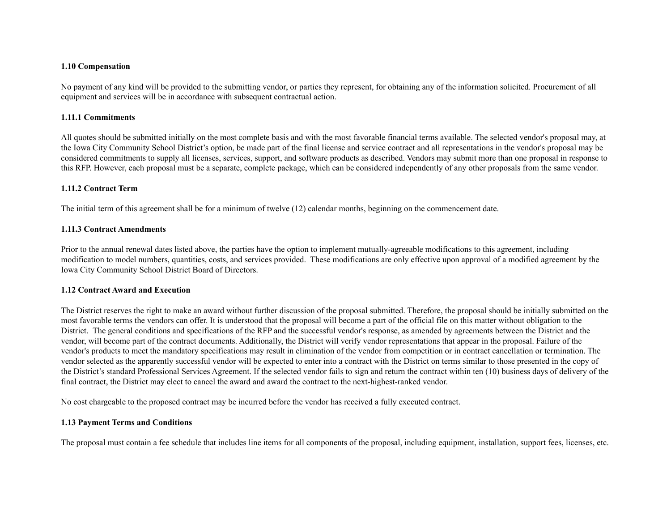### **1.10 Compensation**

 No payment of any kind will be provided to the submitting vendor, or parties they represent, for obtaining any of the information solicited. Procurement of all equipment and services will be in accordance with subsequent contractual action.

## **1.11.1 Commitments**

 All quotes should be submitted initially on the most complete basis and with the most favorable financial terms available. The selected vendor's proposal may, at the Iowa City Community School District's option, be made part of the final license and service contract and all representations in the vendor's proposal may be considered commitments to supply all licenses, services, support, and software products as described. Vendors may submit more than one proposal in response to this RFP. However, each proposal must be a separate, complete package, which can be considered independently of any other proposals from the same vendor.

## **1.11.2 Contract Term**

The initial term of this agreement shall be for a minimum of twelve (12) calendar months, beginning on the commencement date.

## **1.11.3 Contract Amendments**

 Prior to the annual renewal dates listed above, the parties have the option to implement mutually-agreeable modifications to this agreement, including modification to model numbers, quantities, costs, and services provided. These modifications are only effective upon approval of a modified agreement by the Iowa City Community School District Board of Directors.

## **1.12 Contract Award and Execution**

 The District reserves the right to make an award without further discussion of the proposal submitted. Therefore, the proposal should be initially submitted on the most favorable terms the vendors can offer. It is understood that the proposal will become a part of the official file on this matter without obligation to the District. The general conditions and specifications of the RFP and the successful vendor's response, as amended by agreements between the District and the vendor, will become part of the contract documents. Additionally, the District will verify vendor representations that appear in the proposal. Failure of the vendor's products to meet the mandatory specifications may result in elimination of the vendor from competition or in contract cancellation or termination. The vendor selected as the apparently successful vendor will be expected to enter into a contract with the District on terms similar to those presented in the copy of the District's standard Professional Services Agreement. If the selected vendor fails to sign and return the contract within ten (10) business days of delivery of the final contract, the District may elect to cancel the award and award the contract to the next-highest-ranked vendor.

No cost chargeable to the proposed contract may be incurred before the vendor has received a fully executed contract.

## **1.13 Payment Terms and Conditions**

The proposal must contain a fee schedule that includes line items for all components of the proposal, including equipment, installation, support fees, licenses, etc.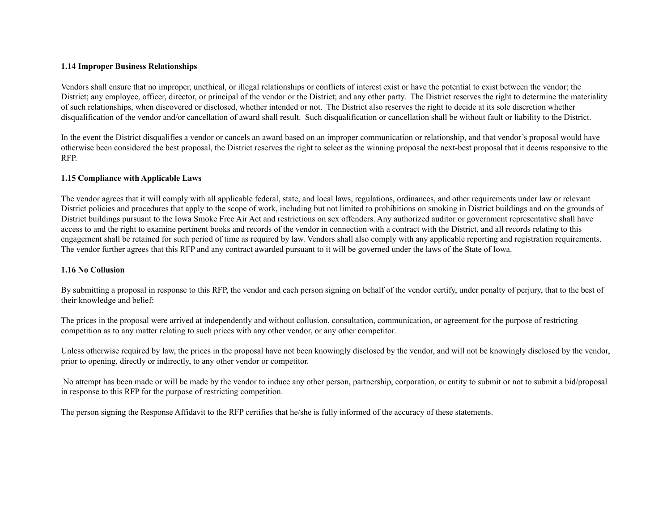## **1.14 Improper Business Relationships**

 Vendors shall ensure that no improper, unethical, or illegal relationships or conflicts of interest exist or have the potential to exist between the vendor; the District; any employee, officer, director, or principal of the vendor or the District; and any other party. The District reserves the right to determine the materiality of such relationships, when discovered or disclosed, whether intended or not. The District also reserves the right to decide at its sole discretion whether disqualification of the vendor and/or cancellation of award shall result. Such disqualification or cancellation shall be without fault or liability to the District.

 In the event the District disqualifies a vendor or cancels an award based on an improper communication or relationship, and that vendor's proposal would have otherwise been considered the best proposal, the District reserves the right to select as the winning proposal the next-best proposal that it deems responsive to the RFP.

## **1.15 Compliance with Applicable Laws**

 The vendor agrees that it will comply with all applicable federal, state, and local laws, regulations, ordinances, and other requirements under law or relevant District policies and procedures that apply to the scope of work, including but not limited to prohibitions on smoking in District buildings and on the grounds of District buildings pursuant to the Iowa Smoke Free Air Act and restrictions on sex offenders. Any authorized auditor or government representative shall have access to and the right to examine pertinent books and records of the vendor in connection with a contract with the District, and all records relating to this engagement shall be retained for such period of time as required by law. Vendors shall also comply with any applicable reporting and registration requirements. The vendor further agrees that this RFP and any contract awarded pursuant to it will be governed under the laws of the State of Iowa.

## **1.16 No Collusion**

 By submitting a proposal in response to this RFP, the vendor and each person signing on behalf of the vendor certify, under penalty of perjury, that to the best of their knowledge and belief:

 The prices in the proposal were arrived at independently and without collusion, consultation, communication, or agreement for the purpose of restricting competition as to any matter relating to such prices with any other vendor, or any other competitor.

 Unless otherwise required by law, the prices in the proposal have not been knowingly disclosed by the vendor, and will not be knowingly disclosed by the vendor, prior to opening, directly or indirectly, to any other vendor or competitor.

 No attempt has been made or will be made by the vendor to induce any other person, partnership, corporation, or entity to submit or not to submit a bid/proposal in response to this RFP for the purpose of restricting competition.

The person signing the Response Affidavit to the RFP certifies that he/she is fully informed of the accuracy of these statements.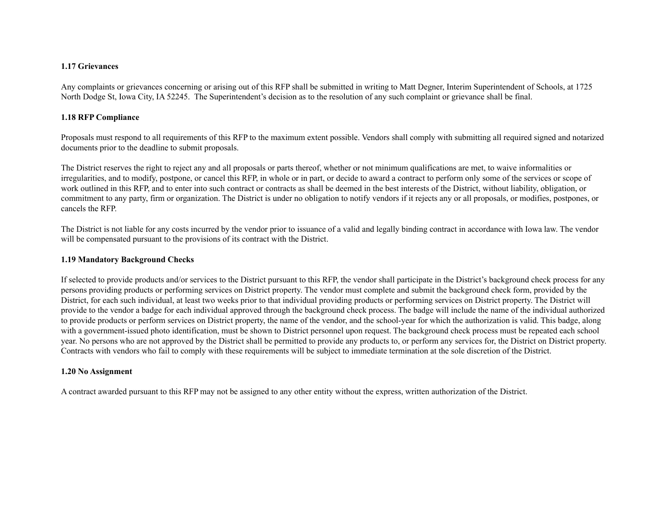#### **1.17 Grievances**

 Any complaints or grievances concerning or arising out of this RFP shall be submitted in writing to Matt Degner, Interim Superintendent of Schools, at 1725 North Dodge St, Iowa City, IA 52245. The Superintendent's decision as to the resolution of any such complaint or grievance shall be final.

## **1.18 RFP Compliance**

 Proposals must respond to all requirements of this RFP to the maximum extent possible. Vendors shall comply with submitting all required signed and notarized documents prior to the deadline to submit proposals.

 The District reserves the right to reject any and all proposals or parts thereof, whether or not minimum qualifications are met, to waive informalities or irregularities, and to modify, postpone, or cancel this RFP, in whole or in part, or decide to award a contract to perform only some of the services or scope of work outlined in this RFP, and to enter into such contract or contracts as shall be deemed in the best interests of the District, without liability, obligation, or commitment to any party, firm or organization. The District is under no obligation to notify vendors if it rejects any or all proposals, or modifies, postpones, or cancels the RFP.

 The District is not liable for any costs incurred by the vendor prior to issuance of a valid and legally binding contract in accordance with Iowa law. The vendor will be compensated pursuant to the provisions of its contract with the District.

## **1.19 Mandatory Background Checks**

 If selected to provide products and/or services to the District pursuant to this RFP, the vendor shall participate in the District's background check process for any persons providing products or performing services on District property. The vendor must complete and submit the background check form, provided by the District, for each such individual, at least two weeks prior to that individual providing products or performing services on District property. The District will provide to the vendor a badge for each individual approved through the background check process. The badge will include the name of the individual authorized to provide products or perform services on District property, the name of the vendor, and the school-year for which the authorization is valid. This badge, along with a government-issued photo identification, must be shown to District personnel upon request. The background check process must be repeated each school year. No persons who are not approved by the District shall be permitted to provide any products to, or perform any services for, the District on District property. Contracts with vendors who fail to comply with these requirements will be subject to immediate termination at the sole discretion of the District.

#### **1.20 No Assignment**

A contract awarded pursuant to this RFP may not be assigned to any other entity without the express, written authorization of the District.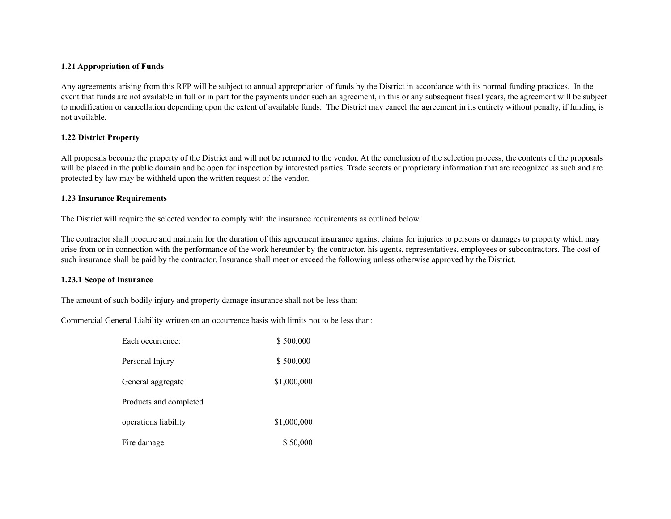## **1.21 Appropriation of Funds**

 Any agreements arising from this RFP will be subject to annual appropriation of funds by the District in accordance with its normal funding practices. In the event that funds are not available in full or in part for the payments under such an agreement, in this or any subsequent fiscal years, the agreement will be subject to modification or cancellation depending upon the extent of available funds. The District may cancel the agreement in its entirety without penalty, if funding is not available.

## **1.22 District Property**

 All proposals become the property of the District and will not be returned to the vendor. At the conclusion of the selection process, the contents of the proposals will be placed in the public domain and be open for inspection by interested parties. Trade secrets or proprietary information that are recognized as such and are protected by law may be withheld upon the written request of the vendor.

## **1.23 Insurance Requirements**

The District will require the selected vendor to comply with the insurance requirements as outlined below.

 The contractor shall procure and maintain for the duration of this agreement insurance against claims for injuries to persons or damages to property which may arise from or in connection with the performance of the work hereunder by the contractor, his agents, representatives, employees or subcontractors. The cost of such insurance shall be paid by the contractor. Insurance shall meet or exceed the following unless otherwise approved by the District.

## **1.23.1 Scope of Insurance**

The amount of such bodily injury and property damage insurance shall not be less than:

Commercial General Liability written on an occurrence basis with limits not to be less than:

| Each occurrence:       | \$500,000   |
|------------------------|-------------|
| Personal Injury        | \$500,000   |
| General aggregate      | \$1,000,000 |
| Products and completed |             |
| operations liability   | \$1,000,000 |
| Fire damage            | \$50,000    |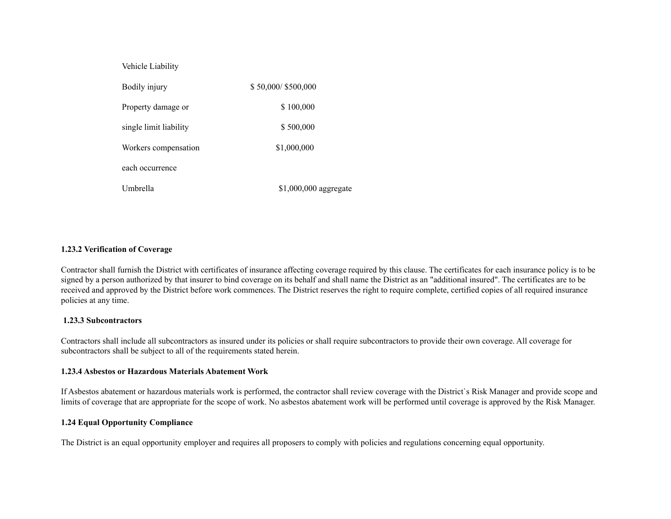| Vehicle Liability      |                       |
|------------------------|-----------------------|
| Bodily injury          | \$50,000/\$500,000    |
| Property damage or     | \$100,000             |
| single limit liability | \$500,000             |
| Workers compensation   | \$1,000,000           |
| each occurrence        |                       |
| Umbrella               | \$1,000,000 aggregate |

## **1.23.2 Verification of Coverage**

 Contractor shall furnish the District with certificates of insurance affecting coverage required by this clause. The certificates for each insurance policy is to be signed by a person authorized by that insurer to bind coverage on its behalf and shall name the District as an "additional insured". The certificates are to be received and approved by the District before work commences. The District reserves the right to require complete, certified copies of all required insurance policies at any time.

## **1.23.3 Subcontractors**

 Contractors shall include all subcontractors as insured under its policies or shall require subcontractors to provide their own coverage. All coverage for subcontractors shall be subject to all of the requirements stated herein.

#### **1.23.4 Asbestos or Hazardous Materials Abatement Work**

 If Asbestos abatement or hazardous materials work is performed, the contractor shall review coverage with the District`s Risk Manager and provide scope and limits of coverage that are appropriate for the scope of work. No asbestos abatement work will be performed until coverage is approved by the Risk Manager.

## **1.24 Equal Opportunity Compliance**

The District is an equal opportunity employer and requires all proposers to comply with policies and regulations concerning equal opportunity.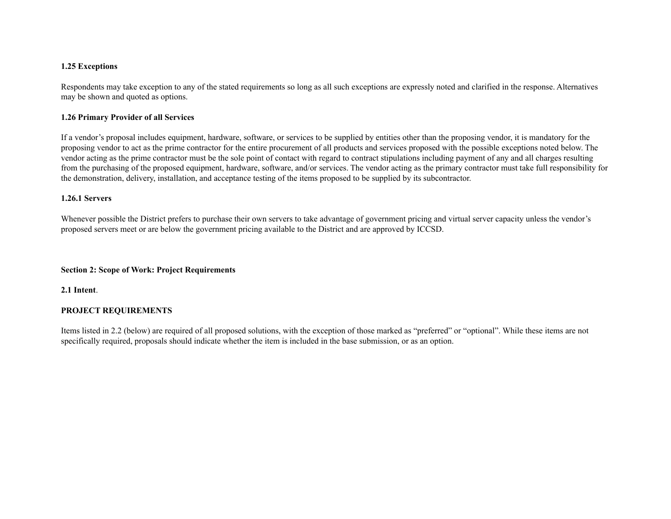## **1.25 Exceptions**

 Respondents may take exception to any of the stated requirements so long as all such exceptions are expressly noted and clarified in the response. Alternatives may be shown and quoted as options.

## **1.26 Primary Provider of all Services**

 If a vendor's proposal includes equipment, hardware, software, or services to be supplied by entities other than the proposing vendor, it is mandatory for the proposing vendor to act as the prime contractor for the entire procurement of all products and services proposed with the possible exceptions noted below. The vendor acting as the prime contractor must be the sole point of contact with regard to contract stipulations including payment of any and all charges resulting from the purchasing of the proposed equipment, hardware, software, and/or services. The vendor acting as the primary contractor must take full responsibility for the demonstration, delivery, installation, and acceptance testing of the items proposed to be supplied by its subcontractor.

## **1.26.1 Servers**

 Whenever possible the District prefers to purchase their own servers to take advantage of government pricing and virtual server capacity unless the vendor's proposed servers meet or are below the government pricing available to the District and are approved by ICCSD.

## **Section 2: Scope of Work: Project Requirements**

**2.1 Intent**.

## **PROJECT REQUIREMENTS**

 Items listed in 2.2 (below) are required of all proposed solutions, with the exception of those marked as "preferred" or "optional". While these items are not specifically required, proposals should indicate whether the item is included in the base submission, or as an option.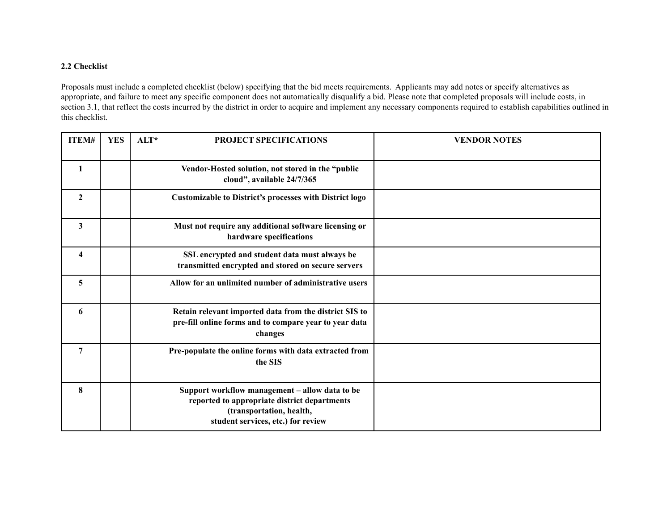## **2.2 Checklist**

 Proposals must include a completed checklist (below) specifying that the bid meets requirements. Applicants may add notes or specify alternatives as appropriate, and failure to meet any specific component does not automatically disqualify a bid. Please note that completed proposals will include costs, in section 3.1, that reflect the costs incurred by the district in order to acquire and implement any necessary components required to establish capabilities outlined in this checklist.

| ITEM#                   | <b>YES</b> | $ALT^*$ | <b>PROJECT SPECIFICATIONS</b>                                                                                                                                    | <b>VENDOR NOTES</b> |
|-------------------------|------------|---------|------------------------------------------------------------------------------------------------------------------------------------------------------------------|---------------------|
| $\mathbf{1}$            |            |         | Vendor-Hosted solution, not stored in the "public<br>cloud", available 24/7/365                                                                                  |                     |
| $\mathbf{2}$            |            |         | <b>Customizable to District's processes with District logo</b>                                                                                                   |                     |
| 3                       |            |         | Must not require any additional software licensing or<br>hardware specifications                                                                                 |                     |
| $\overline{\mathbf{4}}$ |            |         | SSL encrypted and student data must always be<br>transmitted encrypted and stored on secure servers                                                              |                     |
| 5                       |            |         | Allow for an unlimited number of administrative users                                                                                                            |                     |
| 6                       |            |         | Retain relevant imported data from the district SIS to<br>pre-fill online forms and to compare year to year data<br>changes                                      |                     |
| $\overline{7}$          |            |         | Pre-populate the online forms with data extracted from<br>the SIS                                                                                                |                     |
| 8                       |            |         | Support workflow management - allow data to be<br>reported to appropriate district departments<br>(transportation, health,<br>student services, etc.) for review |                     |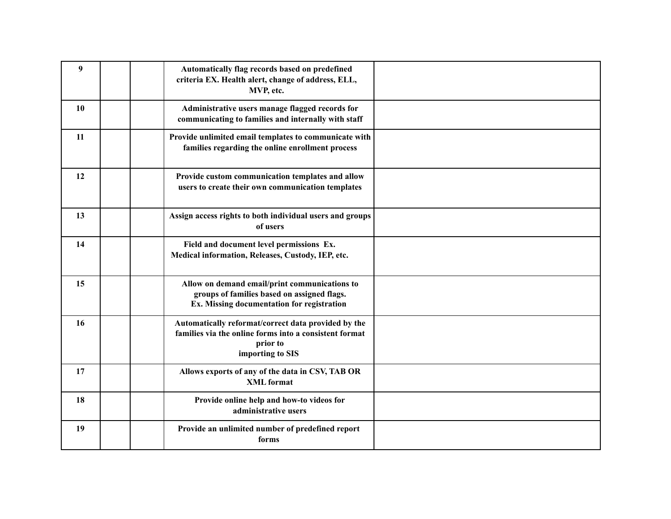| $\boldsymbol{9}$ | Automatically flag records based on predefined<br>criteria EX. Health alert, change of address, ELL,<br>MVP, etc.                             |  |
|------------------|-----------------------------------------------------------------------------------------------------------------------------------------------|--|
| 10               | Administrative users manage flagged records for<br>communicating to families and internally with staff                                        |  |
| 11               | Provide unlimited email templates to communicate with<br>families regarding the online enrollment process                                     |  |
| 12               | Provide custom communication templates and allow<br>users to create their own communication templates                                         |  |
| 13               | Assign access rights to both individual users and groups<br>of users                                                                          |  |
| 14               | Field and document level permissions Ex.<br>Medical information, Releases, Custody, IEP, etc.                                                 |  |
| 15               | Allow on demand email/print communications to<br>groups of families based on assigned flags.<br>Ex. Missing documentation for registration    |  |
| 16               | Automatically reformat/correct data provided by the<br>families via the online forms into a consistent format<br>prior to<br>importing to SIS |  |
| 17               | Allows exports of any of the data in CSV, TAB OR<br><b>XML</b> format                                                                         |  |
| 18               | Provide online help and how-to videos for<br>administrative users                                                                             |  |
| 19               | Provide an unlimited number of predefined report<br>forms                                                                                     |  |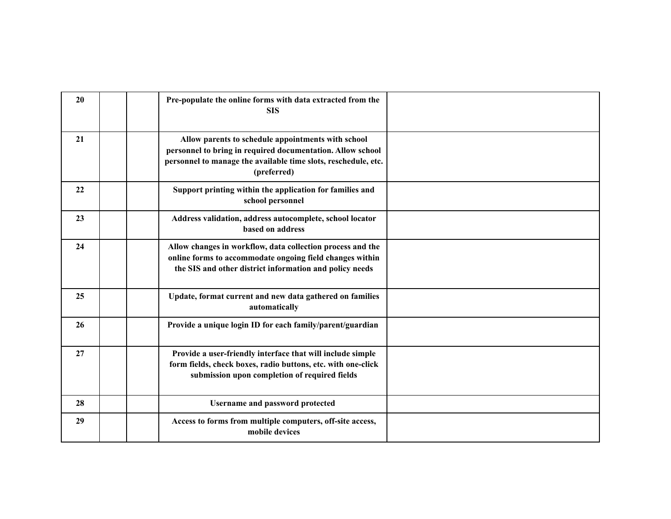| 20 | Pre-populate the online forms with data extracted from the<br><b>SIS</b>                                                                                                          |  |
|----|-----------------------------------------------------------------------------------------------------------------------------------------------------------------------------------|--|
| 21 | Allow parents to schedule appointments with school                                                                                                                                |  |
|    | personnel to bring in required documentation. Allow school<br>personnel to manage the available time slots, reschedule, etc.<br>(preferred)                                       |  |
| 22 | Support printing within the application for families and<br>school personnel                                                                                                      |  |
| 23 | Address validation, address autocomplete, school locator<br>based on address                                                                                                      |  |
| 24 | Allow changes in workflow, data collection process and the<br>online forms to accommodate ongoing field changes within<br>the SIS and other district information and policy needs |  |
| 25 | Update, format current and new data gathered on families<br>automatically                                                                                                         |  |
| 26 | Provide a unique login ID for each family/parent/guardian                                                                                                                         |  |
| 27 | Provide a user-friendly interface that will include simple<br>form fields, check boxes, radio buttons, etc. with one-click<br>submission upon completion of required fields       |  |
| 28 | <b>Username and password protected</b>                                                                                                                                            |  |
| 29 | Access to forms from multiple computers, off-site access,<br>mobile devices                                                                                                       |  |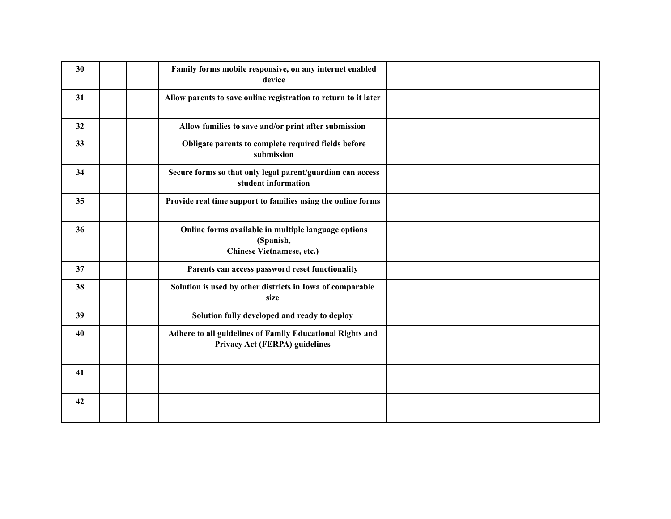| 30 | Family forms mobile responsive, on any internet enabled<br>device                             |  |
|----|-----------------------------------------------------------------------------------------------|--|
| 31 | Allow parents to save online registration to return to it later                               |  |
| 32 | Allow families to save and/or print after submission                                          |  |
| 33 | Obligate parents to complete required fields before<br>submission                             |  |
| 34 | Secure forms so that only legal parent/guardian can access<br>student information             |  |
| 35 | Provide real time support to families using the online forms                                  |  |
| 36 | Online forms available in multiple language options<br>(Spanish,<br>Chinese Vietnamese, etc.) |  |
| 37 | Parents can access password reset functionality                                               |  |
| 38 | Solution is used by other districts in Iowa of comparable<br>size                             |  |
| 39 | Solution fully developed and ready to deploy                                                  |  |
| 40 | Adhere to all guidelines of Family Educational Rights and<br>Privacy Act (FERPA) guidelines   |  |
| 41 |                                                                                               |  |
| 42 |                                                                                               |  |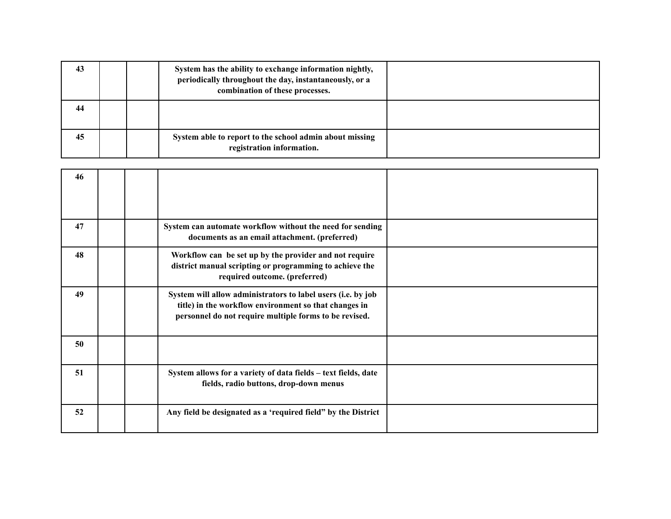| 43 |  | System has the ability to exchange information nightly,<br>periodically throughout the day, instantaneously, or a<br>combination of these processes. |  |
|----|--|------------------------------------------------------------------------------------------------------------------------------------------------------|--|
| 44 |  |                                                                                                                                                      |  |
| 45 |  | System able to report to the school admin about missing<br>registration information.                                                                 |  |

| 46 |  |                                                                                                                                                                                 |  |
|----|--|---------------------------------------------------------------------------------------------------------------------------------------------------------------------------------|--|
| 47 |  | System can automate workflow without the need for sending<br>documents as an email attachment. (preferred)                                                                      |  |
| 48 |  | Workflow can be set up by the provider and not require<br>district manual scripting or programming to achieve the<br>required outcome. (preferred)                              |  |
| 49 |  | System will allow administrators to label users (i.e. by job<br>title) in the workflow environment so that changes in<br>personnel do not require multiple forms to be revised. |  |
| 50 |  |                                                                                                                                                                                 |  |
| 51 |  | System allows for a variety of data fields - text fields, date<br>fields, radio buttons, drop-down menus                                                                        |  |
| 52 |  | Any field be designated as a 'required field" by the District                                                                                                                   |  |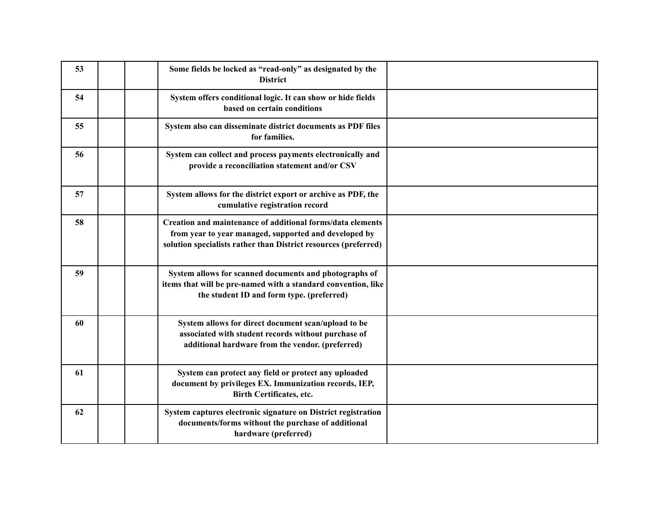| 53 | Some fields be locked as "read-only" as designated by the<br><b>District</b>                                                                                                           |  |
|----|----------------------------------------------------------------------------------------------------------------------------------------------------------------------------------------|--|
| 54 | System offers conditional logic. It can show or hide fields<br>based on certain conditions                                                                                             |  |
| 55 | System also can disseminate district documents as PDF files<br>for families.                                                                                                           |  |
| 56 | System can collect and process payments electronically and<br>provide a reconciliation statement and/or CSV                                                                            |  |
| 57 | System allows for the district export or archive as PDF, the<br>cumulative registration record                                                                                         |  |
| 58 | Creation and maintenance of additional forms/data elements<br>from year to year managed, supported and developed by<br>solution specialists rather than District resources (preferred) |  |
| 59 | System allows for scanned documents and photographs of<br>items that will be pre-named with a standard convention, like<br>the student ID and form type. (preferred)                   |  |
| 60 | System allows for direct document scan/upload to be<br>associated with student records without purchase of<br>additional hardware from the vendor. (preferred)                         |  |
| 61 | System can protect any field or protect any uploaded<br>document by privileges EX. Immunization records, IEP,<br><b>Birth Certificates, etc.</b>                                       |  |
| 62 | System captures electronic signature on District registration<br>documents/forms without the purchase of additional<br>hardware (preferred)                                            |  |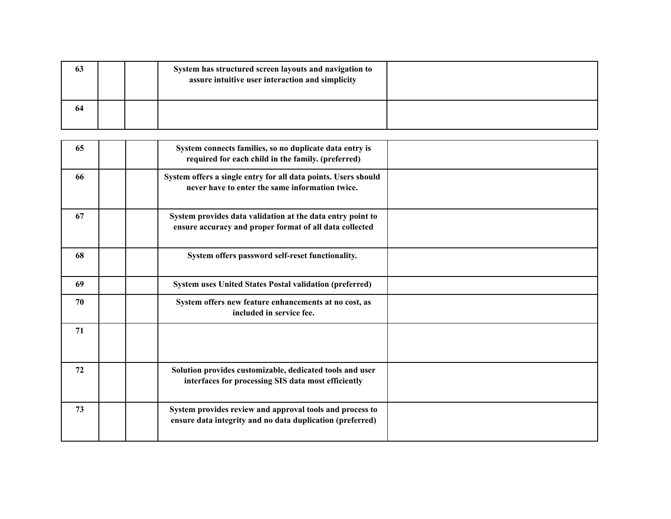| 63 |  | System has structured screen layouts and navigation to<br>assure intuitive user interaction and simplicity |  |
|----|--|------------------------------------------------------------------------------------------------------------|--|
| 64 |  |                                                                                                            |  |

| 65 | System connects families, so no duplicate data entry is<br>required for each child in the family. (preferred)         |  |
|----|-----------------------------------------------------------------------------------------------------------------------|--|
| 66 | System offers a single entry for all data points. Users should<br>never have to enter the same information twice.     |  |
| 67 | System provides data validation at the data entry point to<br>ensure accuracy and proper format of all data collected |  |
| 68 | System offers password self-reset functionality.                                                                      |  |
| 69 | <b>System uses United States Postal validation (preferred)</b>                                                        |  |
| 70 | System offers new feature enhancements at no cost, as<br>included in service fee.                                     |  |
| 71 |                                                                                                                       |  |
| 72 | Solution provides customizable, dedicated tools and user<br>interfaces for processing SIS data most efficiently       |  |
| 73 | System provides review and approval tools and process to<br>ensure data integrity and no data duplication (preferred) |  |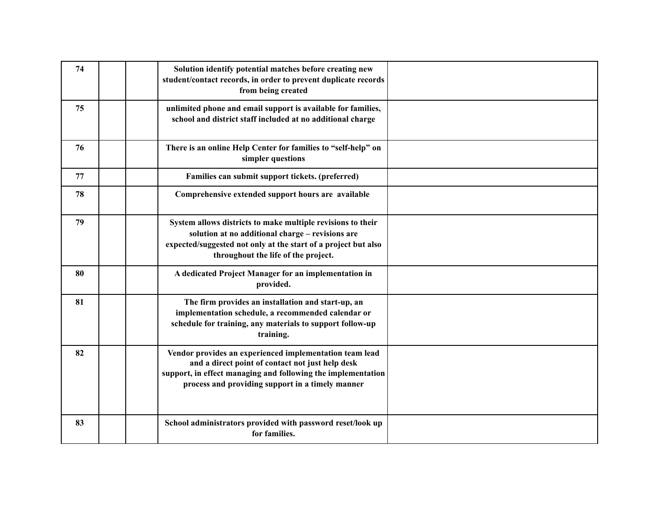| 74 | Solution identify potential matches before creating new<br>student/contact records, in order to prevent duplicate records<br>from being created                                                                                 |  |
|----|---------------------------------------------------------------------------------------------------------------------------------------------------------------------------------------------------------------------------------|--|
| 75 | unlimited phone and email support is available for families,<br>school and district staff included at no additional charge                                                                                                      |  |
| 76 | There is an online Help Center for families to "self-help" on<br>simpler questions                                                                                                                                              |  |
| 77 | Families can submit support tickets. (preferred)                                                                                                                                                                                |  |
| 78 | Comprehensive extended support hours are available                                                                                                                                                                              |  |
| 79 | System allows districts to make multiple revisions to their<br>solution at no additional charge - revisions are<br>expected/suggested not only at the start of a project but also<br>throughout the life of the project.        |  |
| 80 | A dedicated Project Manager for an implementation in<br>provided.                                                                                                                                                               |  |
| 81 | The firm provides an installation and start-up, an<br>implementation schedule, a recommended calendar or<br>schedule for training, any materials to support follow-up<br>training.                                              |  |
| 82 | Vendor provides an experienced implementation team lead<br>and a direct point of contact not just help desk<br>support, in effect managing and following the implementation<br>process and providing support in a timely manner |  |
| 83 | School administrators provided with password reset/look up<br>for families.                                                                                                                                                     |  |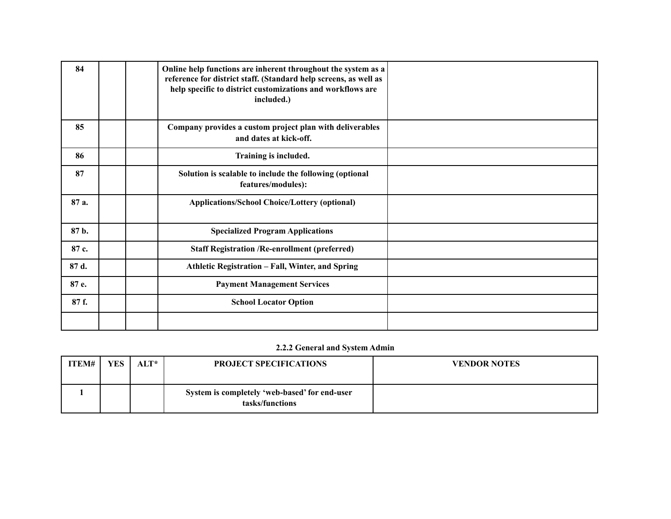| 84    | Online help functions are inherent throughout the system as a<br>reference for district staff. (Standard help screens, as well as<br>help specific to district customizations and workflows are<br>included.) |  |
|-------|---------------------------------------------------------------------------------------------------------------------------------------------------------------------------------------------------------------|--|
| 85    | Company provides a custom project plan with deliverables<br>and dates at kick-off.                                                                                                                            |  |
| 86    | Training is included.                                                                                                                                                                                         |  |
| 87    | Solution is scalable to include the following (optional<br>features/modules):                                                                                                                                 |  |
| 87 a. | <b>Applications/School Choice/Lottery (optional)</b>                                                                                                                                                          |  |
| 87 b. | <b>Specialized Program Applications</b>                                                                                                                                                                       |  |
| 87 c. | <b>Staff Registration /Re-enrollment (preferred)</b>                                                                                                                                                          |  |
| 87 d. | Athletic Registration - Fall, Winter, and Spring                                                                                                                                                              |  |
| 87 e. | <b>Payment Management Services</b>                                                                                                                                                                            |  |
| 87 f. | <b>School Locator Option</b>                                                                                                                                                                                  |  |
|       |                                                                                                                                                                                                               |  |

## **2.2.2 General and System Admin**

| ITEM# | <b>YES</b> | ALT* | <b>PROJECT SPECIFICATIONS</b>                                    | <b>VENDOR NOTES</b> |
|-------|------------|------|------------------------------------------------------------------|---------------------|
|       |            |      | System is completely 'web-based' for end-user<br>tasks/functions |                     |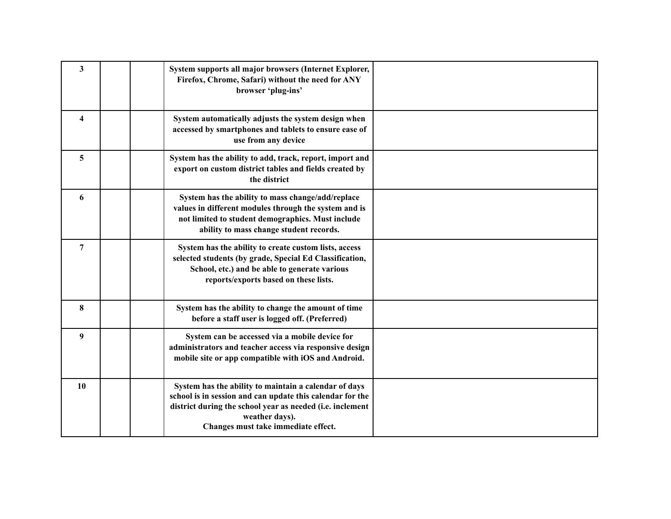| $\overline{\mathbf{3}}$ | System supports all major browsers (Internet Explorer,<br>Firefox, Chrome, Safari) without the need for ANY<br>browser 'plug-ins'                                                                                                        |  |
|-------------------------|------------------------------------------------------------------------------------------------------------------------------------------------------------------------------------------------------------------------------------------|--|
| $\overline{\mathbf{4}}$ | System automatically adjusts the system design when<br>accessed by smartphones and tablets to ensure ease of<br>use from any device                                                                                                      |  |
| 5                       | System has the ability to add, track, report, import and<br>export on custom district tables and fields created by<br>the district                                                                                                       |  |
| 6                       | System has the ability to mass change/add/replace<br>values in different modules through the system and is<br>not limited to student demographics. Must include<br>ability to mass change student records.                               |  |
| $\overline{7}$          | System has the ability to create custom lists, access<br>selected students (by grade, Special Ed Classification,<br>School, etc.) and be able to generate various<br>reports/exports based on these lists.                               |  |
| 8                       | System has the ability to change the amount of time<br>before a staff user is logged off. (Preferred)                                                                                                                                    |  |
| $\boldsymbol{9}$        | System can be accessed via a mobile device for<br>administrators and teacher access via responsive design<br>mobile site or app compatible with iOS and Android.                                                                         |  |
| 10                      | System has the ability to maintain a calendar of days<br>school is in session and can update this calendar for the<br>district during the school year as needed (i.e. inclement<br>weather days).<br>Changes must take immediate effect. |  |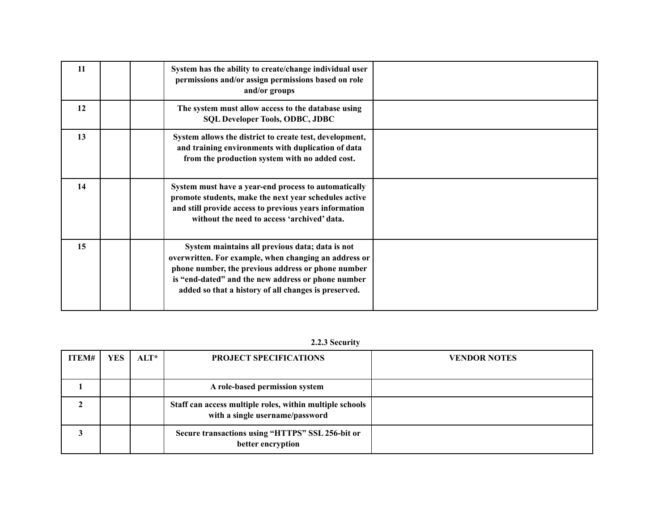| 11 | System has the ability to create/change individual user<br>permissions and/or assign permissions based on role<br>and/or groups                                                                                                                                              |  |
|----|------------------------------------------------------------------------------------------------------------------------------------------------------------------------------------------------------------------------------------------------------------------------------|--|
| 12 | The system must allow access to the database using<br><b>SQL Developer Tools, ODBC, JDBC</b>                                                                                                                                                                                 |  |
| 13 | System allows the district to create test, development,<br>and training environments with duplication of data<br>from the production system with no added cost.                                                                                                              |  |
| 14 | System must have a year-end process to automatically<br>promote students, make the next year schedules active<br>and still provide access to previous years information<br>without the need to access 'archived' data.                                                       |  |
| 15 | System maintains all previous data; data is not<br>overwritten. For example, when changing an address or<br>phone number, the previous address or phone number<br>is "end-dated" and the new address or phone number<br>added so that a history of all changes is preserved. |  |

# **2.2.3 Security**

| ITEM# | <b>YES</b> | $\mathbf{ALT}^*$ | <b>PROJECT SPECIFICATIONS</b>                                                               | <b>VENDOR NOTES</b> |
|-------|------------|------------------|---------------------------------------------------------------------------------------------|---------------------|
|       |            |                  |                                                                                             |                     |
|       |            |                  | A role-based permission system                                                              |                     |
|       |            |                  | Staff can access multiple roles, within multiple schools<br>with a single username/password |                     |
|       |            |                  | Secure transactions using "HTTPS" SSL 256-bit or<br>better encryption                       |                     |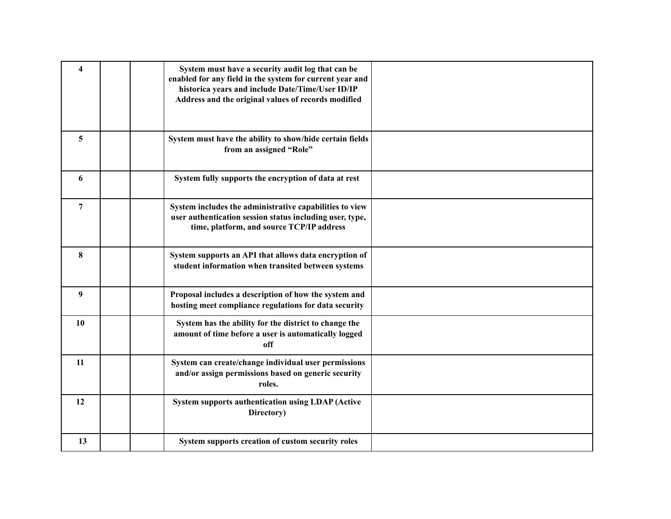| $\overline{\mathbf{4}}$ | System must have a security audit log that can be<br>enabled for any field in the system for current year and<br>historica years and include Date/Time/User ID/IP<br>Address and the original values of records modified |  |
|-------------------------|--------------------------------------------------------------------------------------------------------------------------------------------------------------------------------------------------------------------------|--|
| 5                       | System must have the ability to show/hide certain fields<br>from an assigned "Role"                                                                                                                                      |  |
| 6                       | System fully supports the encryption of data at rest                                                                                                                                                                     |  |
| $\overline{7}$          | System includes the administrative capabilities to view<br>user authentication session status including user, type,<br>time, platform, and source TCP/IP address                                                         |  |
| 8                       | System supports an API that allows data encryption of<br>student information when transited between systems                                                                                                              |  |
| 9                       | Proposal includes a description of how the system and<br>hosting meet compliance regulations for data security                                                                                                           |  |
| 10                      | System has the ability for the district to change the<br>amount of time before a user is automatically logged<br>off                                                                                                     |  |
| 11                      | System can create/change individual user permissions<br>and/or assign permissions based on generic security<br>roles.                                                                                                    |  |
| 12                      | <b>System supports authentication using LDAP (Active</b><br>Directory)                                                                                                                                                   |  |
| 13                      | System supports creation of custom security roles                                                                                                                                                                        |  |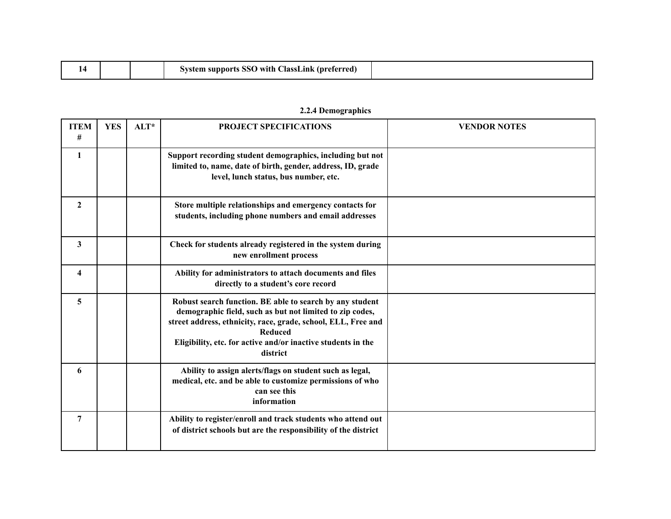|  |  |  | ClassLink<br>: (preferred<br>nor+*<br>with<br>550 |  |
|--|--|--|---------------------------------------------------|--|
|--|--|--|---------------------------------------------------|--|

| <b>ITEM</b><br># | <b>YES</b> | ALT* | PROJECT SPECIFICATIONS                                                                                                                                                                                                                                                              | <b>VENDOR NOTES</b> |
|------------------|------------|------|-------------------------------------------------------------------------------------------------------------------------------------------------------------------------------------------------------------------------------------------------------------------------------------|---------------------|
| 1                |            |      | Support recording student demographics, including but not<br>limited to, name, date of birth, gender, address, ID, grade<br>level, lunch status, bus number, etc.                                                                                                                   |                     |
| $\boldsymbol{2}$ |            |      | Store multiple relationships and emergency contacts for<br>students, including phone numbers and email addresses                                                                                                                                                                    |                     |
| 3                |            |      | Check for students already registered in the system during<br>new enrollment process                                                                                                                                                                                                |                     |
| 4                |            |      | Ability for administrators to attach documents and files<br>directly to a student's core record                                                                                                                                                                                     |                     |
| 5                |            |      | Robust search function. BE able to search by any student<br>demographic field, such as but not limited to zip codes,<br>street address, ethnicity, race, grade, school, ELL, Free and<br><b>Reduced</b><br>Eligibility, etc. for active and/or inactive students in the<br>district |                     |
| 6                |            |      | Ability to assign alerts/flags on student such as legal,<br>medical, etc. and be able to customize permissions of who<br>can see this<br>information                                                                                                                                |                     |
| 7                |            |      | Ability to register/enroll and track students who attend out<br>of district schools but are the responsibility of the district                                                                                                                                                      |                     |

# **2.2.4 Demographics**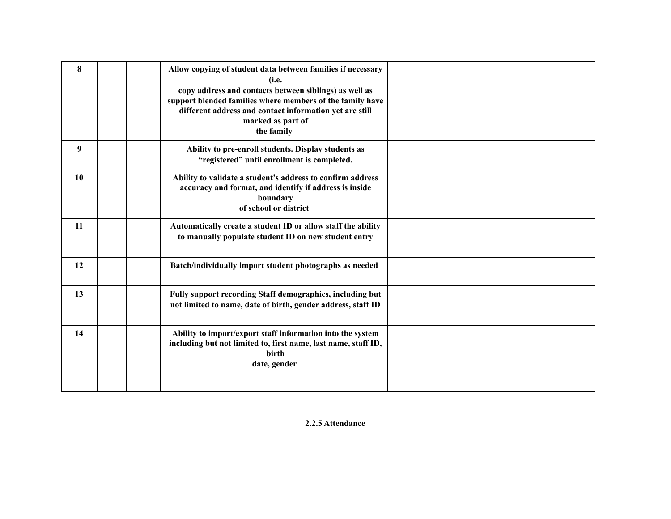| 8  | Allow copying of student data between families if necessary<br>(i.e.<br>copy address and contacts between siblings) as well as<br>support blended families where members of the family have<br>different address and contact information yet are still<br>marked as part of<br>the family |  |
|----|-------------------------------------------------------------------------------------------------------------------------------------------------------------------------------------------------------------------------------------------------------------------------------------------|--|
| 9  | Ability to pre-enroll students. Display students as<br>"registered" until enrollment is completed.                                                                                                                                                                                        |  |
| 10 | Ability to validate a student's address to confirm address<br>accuracy and format, and identify if address is inside<br>boundary<br>of school or district                                                                                                                                 |  |
| 11 | Automatically create a student ID or allow staff the ability<br>to manually populate student ID on new student entry                                                                                                                                                                      |  |
| 12 | Batch/individually import student photographs as needed                                                                                                                                                                                                                                   |  |
| 13 | Fully support recording Staff demographics, including but<br>not limited to name, date of birth, gender address, staff ID                                                                                                                                                                 |  |
| 14 | Ability to import/export staff information into the system<br>including but not limited to, first name, last name, staff ID,<br><b>birth</b><br>date, gender                                                                                                                              |  |
|    |                                                                                                                                                                                                                                                                                           |  |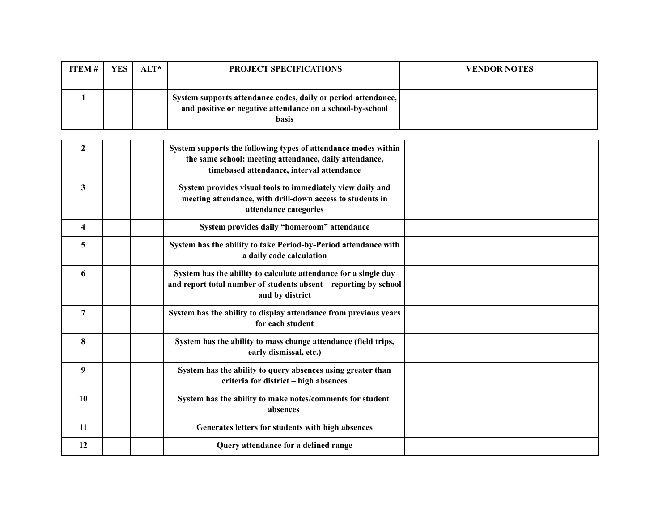| <b>ITEM</b> $#$ | <b>YES</b> | $AIT^*$ | <b>PROJECT SPECIFICATIONS</b>                                                                                                              | <b>VENDOR NOTES</b> |
|-----------------|------------|---------|--------------------------------------------------------------------------------------------------------------------------------------------|---------------------|
|                 |            |         | System supports attendance codes, daily or period attendance,<br>and positive or negative attendance on a school-by-school<br><b>basis</b> |                     |

| $\mathbf{2}$            | System supports the following types of attendance modes within<br>the same school: meeting attendance, daily attendance,<br>timebased attendance, interval attendance |  |
|-------------------------|-----------------------------------------------------------------------------------------------------------------------------------------------------------------------|--|
| 3                       | System provides visual tools to immediately view daily and<br>meeting attendance, with drill-down access to students in<br>attendance categories                      |  |
| $\overline{\mathbf{4}}$ | System provides daily "homeroom" attendance                                                                                                                           |  |
| 5                       | System has the ability to take Period-by-Period attendance with<br>a daily code calculation                                                                           |  |
| 6                       | System has the ability to calculate attendance for a single day<br>and report total number of students absent - reporting by school<br>and by district                |  |
| 7                       | System has the ability to display attendance from previous years<br>for each student                                                                                  |  |
| 8                       | System has the ability to mass change attendance (field trips,<br>early dismissal, etc.)                                                                              |  |
| 9                       | System has the ability to query absences using greater than<br>criteria for district - high absences                                                                  |  |
| 10                      | System has the ability to make notes/comments for student<br>absences                                                                                                 |  |
| 11                      | Generates letters for students with high absences                                                                                                                     |  |
| 12                      | Query attendance for a defined range                                                                                                                                  |  |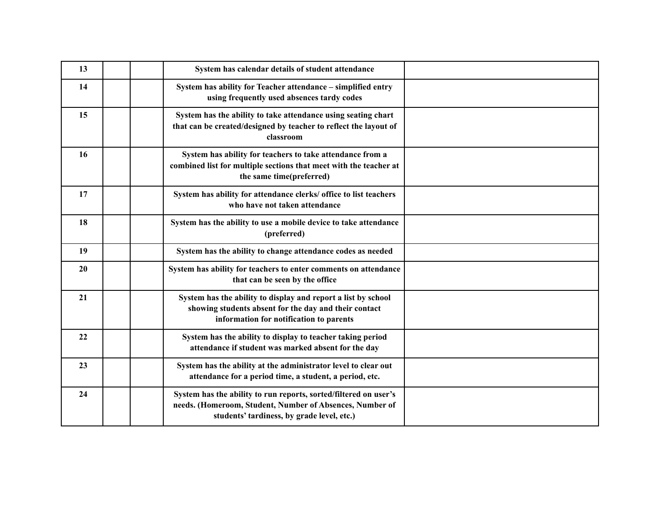| 13 | System has calendar details of student attendance                                                                                                                          |  |
|----|----------------------------------------------------------------------------------------------------------------------------------------------------------------------------|--|
| 14 | System has ability for Teacher attendance - simplified entry<br>using frequently used absences tardy codes                                                                 |  |
| 15 | System has the ability to take attendance using seating chart<br>that can be created/designed by teacher to reflect the layout of<br>classroom                             |  |
| 16 | System has ability for teachers to take attendance from a<br>combined list for multiple sections that meet with the teacher at<br>the same time(preferred)                 |  |
| 17 | System has ability for attendance clerks/ office to list teachers<br>who have not taken attendance                                                                         |  |
| 18 | System has the ability to use a mobile device to take attendance<br>(preferred)                                                                                            |  |
| 19 | System has the ability to change attendance codes as needed                                                                                                                |  |
| 20 | System has ability for teachers to enter comments on attendance<br>that can be seen by the office                                                                          |  |
| 21 | System has the ability to display and report a list by school<br>showing students absent for the day and their contact<br>information for notification to parents          |  |
| 22 | System has the ability to display to teacher taking period<br>attendance if student was marked absent for the day                                                          |  |
| 23 | System has the ability at the administrator level to clear out<br>attendance for a period time, a student, a period, etc.                                                  |  |
| 24 | System has the ability to run reports, sorted/filtered on user's<br>needs. (Homeroom, Student, Number of Absences, Number of<br>students' tardiness, by grade level, etc.) |  |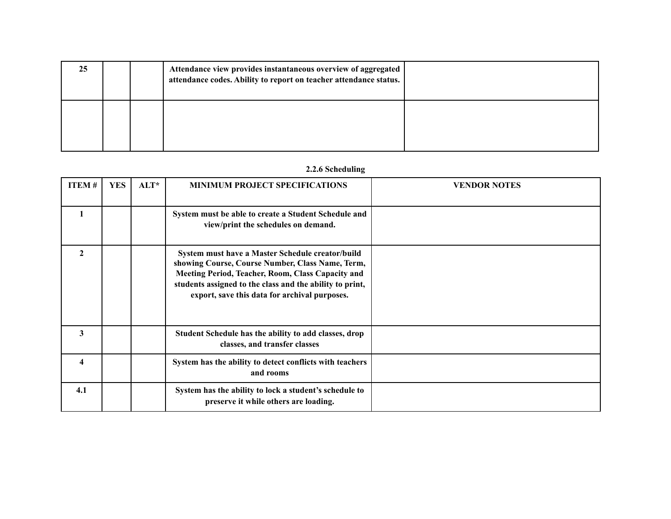| 25 |  | Attendance view provides instantaneous overview of aggregated<br>attendance codes. Ability to report on teacher attendance status. |  |
|----|--|------------------------------------------------------------------------------------------------------------------------------------|--|
|    |  |                                                                                                                                    |  |

## **2.2.6 Scheduling**

| <b>ITEM#</b>            | <b>YES</b> | ALT* | <b>MINIMUM PROJECT SPECIFICATIONS</b>                                                                                                                                                                                                                                  | <b>VENDOR NOTES</b> |
|-------------------------|------------|------|------------------------------------------------------------------------------------------------------------------------------------------------------------------------------------------------------------------------------------------------------------------------|---------------------|
| 1                       |            |      | System must be able to create a Student Schedule and<br>view/print the schedules on demand.                                                                                                                                                                            |                     |
| $\overline{2}$          |            |      | System must have a Master Schedule creator/build<br>showing Course, Course Number, Class Name, Term,<br>Meeting Period, Teacher, Room, Class Capacity and<br>students assigned to the class and the ability to print,<br>export, save this data for archival purposes. |                     |
| 3                       |            |      | Student Schedule has the ability to add classes, drop<br>classes, and transfer classes                                                                                                                                                                                 |                     |
| $\overline{\mathbf{4}}$ |            |      | System has the ability to detect conflicts with teachers<br>and rooms                                                                                                                                                                                                  |                     |
| 4.1                     |            |      | System has the ability to lock a student's schedule to<br>preserve it while others are loading.                                                                                                                                                                        |                     |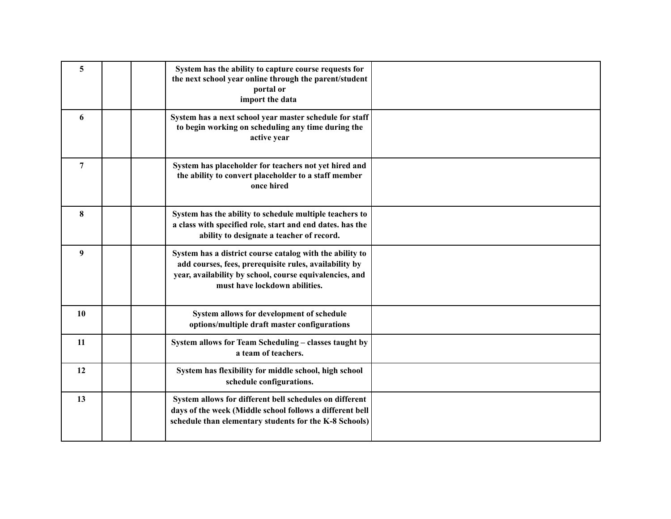| 5              | System has the ability to capture course requests for<br>the next school year online through the parent/student<br>portal or<br>import the data                                                                |  |
|----------------|----------------------------------------------------------------------------------------------------------------------------------------------------------------------------------------------------------------|--|
| 6              | System has a next school year master schedule for staff<br>to begin working on scheduling any time during the<br>active year                                                                                   |  |
| $\overline{7}$ | System has placeholder for teachers not yet hired and<br>the ability to convert placeholder to a staff member<br>once hired                                                                                    |  |
| 8              | System has the ability to schedule multiple teachers to<br>a class with specified role, start and end dates. has the<br>ability to designate a teacher of record.                                              |  |
| 9              | System has a district course catalog with the ability to<br>add courses, fees, prerequisite rules, availability by<br>year, availability by school, course equivalencies, and<br>must have lockdown abilities. |  |
| <b>10</b>      | System allows for development of schedule<br>options/multiple draft master configurations                                                                                                                      |  |
| 11             | System allows for Team Scheduling - classes taught by<br>a team of teachers.                                                                                                                                   |  |
| 12             | System has flexibility for middle school, high school<br>schedule configurations.                                                                                                                              |  |
| 13             | System allows for different bell schedules on different<br>days of the week (Middle school follows a different bell<br>schedule than elementary students for the K-8 Schools)                                  |  |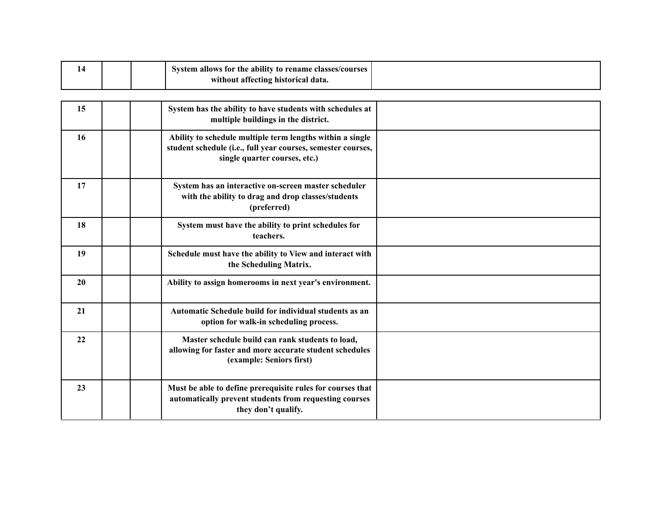| 14 |  | System allows for the ability to rename classes/courses<br>without affecting historical data.   |  |
|----|--|-------------------------------------------------------------------------------------------------|--|
|    |  |                                                                                                 |  |
| 15 |  | System has the ability to have students with schedules at<br>multiple buildings in the district |  |

|    | multiple buildings in the district.                                                                                                                        |  |
|----|------------------------------------------------------------------------------------------------------------------------------------------------------------|--|
| 16 | Ability to schedule multiple term lengths within a single<br>student schedule (i.e., full year courses, semester courses,<br>single quarter courses, etc.) |  |
| 17 | System has an interactive on-screen master scheduler<br>with the ability to drag and drop classes/students<br>(preferred)                                  |  |
| 18 | System must have the ability to print schedules for<br>teachers.                                                                                           |  |
| 19 | Schedule must have the ability to View and interact with<br>the Scheduling Matrix.                                                                         |  |
| 20 | Ability to assign homerooms in next year's environment.                                                                                                    |  |
| 21 | Automatic Schedule build for individual students as an<br>option for walk-in scheduling process.                                                           |  |
| 22 | Master schedule build can rank students to load,<br>allowing for faster and more accurate student schedules<br>(example: Seniors first)                    |  |
| 23 | Must be able to define prerequisite rules for courses that<br>automatically prevent students from requesting courses<br>they don't qualify.                |  |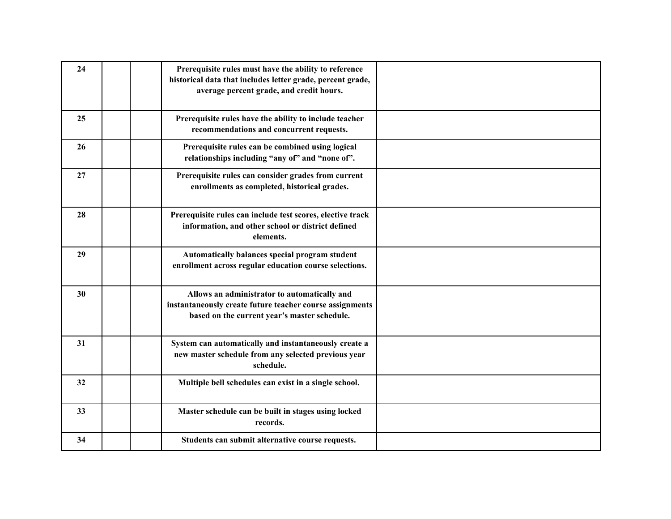| 24 | Prerequisite rules must have the ability to reference<br>historical data that includes letter grade, percent grade,<br>average percent grade, and credit hours. |  |
|----|-----------------------------------------------------------------------------------------------------------------------------------------------------------------|--|
| 25 | Prerequisite rules have the ability to include teacher<br>recommendations and concurrent requests.                                                              |  |
| 26 | Prerequisite rules can be combined using logical<br>relationships including "any of" and "none of".                                                             |  |
| 27 | Prerequisite rules can consider grades from current<br>enrollments as completed, historical grades.                                                             |  |
| 28 | Prerequisite rules can include test scores, elective track<br>information, and other school or district defined<br>elements.                                    |  |
| 29 | Automatically balances special program student<br>enrollment across regular education course selections.                                                        |  |
| 30 | Allows an administrator to automatically and<br>instantaneously create future teacher course assignments<br>based on the current year's master schedule.        |  |
| 31 | System can automatically and instantaneously create a<br>new master schedule from any selected previous year<br>schedule.                                       |  |
| 32 | Multiple bell schedules can exist in a single school.                                                                                                           |  |
| 33 | Master schedule can be built in stages using locked<br>records.                                                                                                 |  |
| 34 | Students can submit alternative course requests.                                                                                                                |  |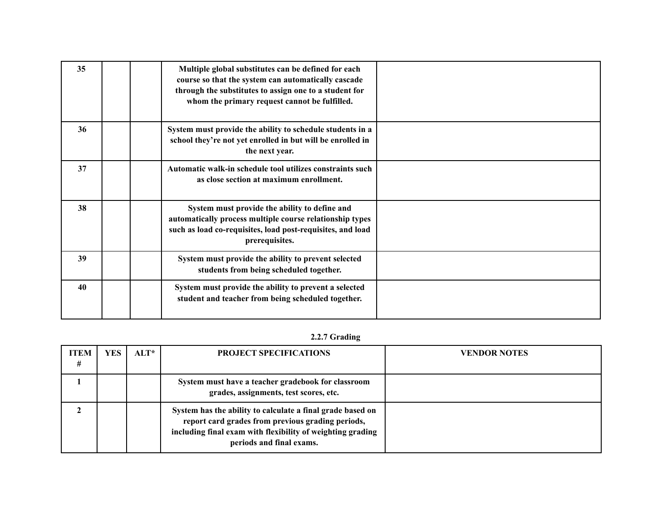| 35 | Multiple global substitutes can be defined for each<br>course so that the system can automatically cascade<br>through the substitutes to assign one to a student for<br>whom the primary request cannot be fulfilled. |  |
|----|-----------------------------------------------------------------------------------------------------------------------------------------------------------------------------------------------------------------------|--|
| 36 | System must provide the ability to schedule students in a<br>school they're not yet enrolled in but will be enrolled in<br>the next year.                                                                             |  |
| 37 | Automatic walk-in schedule tool utilizes constraints such<br>as close section at maximum enrollment.                                                                                                                  |  |
| 38 | System must provide the ability to define and<br>automatically process multiple course relationship types<br>such as load co-requisites, load post-requisites, and load<br>prerequisites.                             |  |
| 39 | System must provide the ability to prevent selected<br>students from being scheduled together.                                                                                                                        |  |
| 40 | System must provide the ability to prevent a selected<br>student and teacher from being scheduled together.                                                                                                           |  |

# **2.2.7 Grading**

| ITEM<br># | <b>YES</b> | $\mathbf{ALT}^*$ | <b>PROJECT SPECIFICATIONS</b>                                                                                                                                                                             | <b>VENDOR NOTES</b> |
|-----------|------------|------------------|-----------------------------------------------------------------------------------------------------------------------------------------------------------------------------------------------------------|---------------------|
|           |            |                  | System must have a teacher gradebook for classroom<br>grades, assignments, test scores, etc.                                                                                                              |                     |
|           |            |                  | System has the ability to calculate a final grade based on<br>report card grades from previous grading periods,<br>including final exam with flexibility of weighting grading<br>periods and final exams. |                     |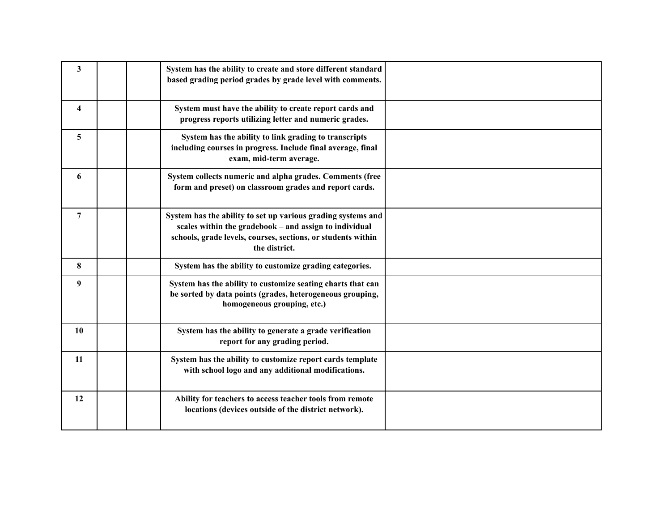| 3                       | System has the ability to create and store different standard<br>based grading period grades by grade level with comments.                                                                              |  |
|-------------------------|---------------------------------------------------------------------------------------------------------------------------------------------------------------------------------------------------------|--|
| $\overline{\mathbf{4}}$ | System must have the ability to create report cards and<br>progress reports utilizing letter and numeric grades.                                                                                        |  |
| 5                       | System has the ability to link grading to transcripts<br>including courses in progress. Include final average, final<br>exam, mid-term average.                                                         |  |
| 6                       | System collects numeric and alpha grades. Comments (free<br>form and preset) on classroom grades and report cards.                                                                                      |  |
| $\overline{7}$          | System has the ability to set up various grading systems and<br>scales within the gradebook - and assign to individual<br>schools, grade levels, courses, sections, or students within<br>the district. |  |
| 8                       | System has the ability to customize grading categories.                                                                                                                                                 |  |
| 9                       | System has the ability to customize seating charts that can<br>be sorted by data points (grades, heterogeneous grouping,<br>homogeneous grouping, etc.)                                                 |  |
| 10                      | System has the ability to generate a grade verification<br>report for any grading period.                                                                                                               |  |
| 11                      | System has the ability to customize report cards template<br>with school logo and any additional modifications.                                                                                         |  |
| 12                      | Ability for teachers to access teacher tools from remote<br>locations (devices outside of the district network).                                                                                        |  |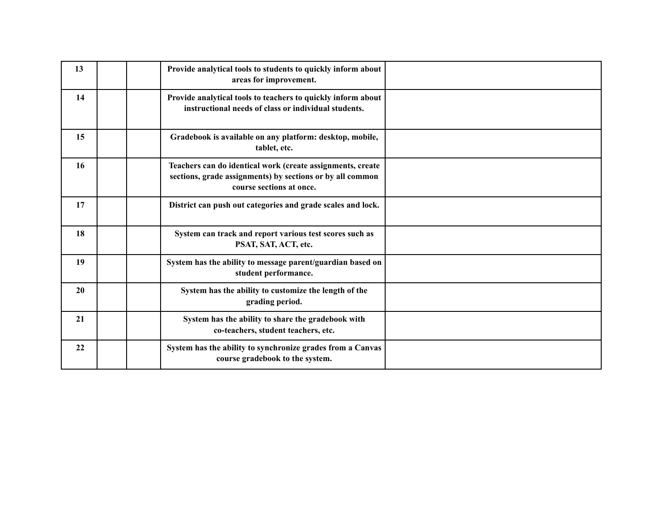| 13 | Provide analytical tools to students to quickly inform about<br>areas for improvement.                                                              |  |
|----|-----------------------------------------------------------------------------------------------------------------------------------------------------|--|
| 14 | Provide analytical tools to teachers to quickly inform about<br>instructional needs of class or individual students.                                |  |
| 15 | Gradebook is available on any platform: desktop, mobile,<br>tablet, etc.                                                                            |  |
| 16 | Teachers can do identical work (create assignments, create<br>sections, grade assignments) by sections or by all common<br>course sections at once. |  |
| 17 | District can push out categories and grade scales and lock.                                                                                         |  |
| 18 | System can track and report various test scores such as<br>PSAT, SAT, ACT, etc.                                                                     |  |
| 19 | System has the ability to message parent/guardian based on<br>student performance.                                                                  |  |
| 20 | System has the ability to customize the length of the<br>grading period.                                                                            |  |
| 21 | System has the ability to share the gradebook with<br>co-teachers, student teachers, etc.                                                           |  |
| 22 | System has the ability to synchronize grades from a Canvas<br>course gradebook to the system.                                                       |  |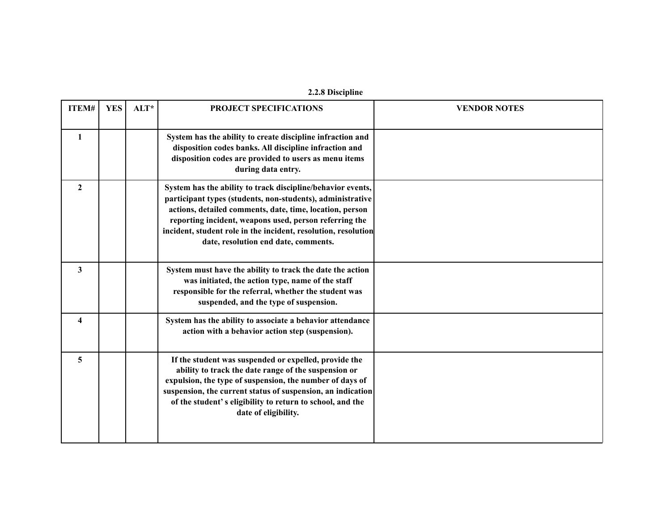| 2.2.8 Discipline |  |
|------------------|--|
|------------------|--|

| ITEM#        | <b>YES</b> | $ALT^*$ | <b>PROJECT SPECIFICATIONS</b>                                                                                                                                                                                                                                                                                                                             | <b>VENDOR NOTES</b> |
|--------------|------------|---------|-----------------------------------------------------------------------------------------------------------------------------------------------------------------------------------------------------------------------------------------------------------------------------------------------------------------------------------------------------------|---------------------|
| 1            |            |         | System has the ability to create discipline infraction and<br>disposition codes banks. All discipline infraction and<br>disposition codes are provided to users as menu items<br>during data entry.                                                                                                                                                       |                     |
| $\mathbf{2}$ |            |         | System has the ability to track discipline/behavior events,<br>participant types (students, non-students), administrative<br>actions, detailed comments, date, time, location, person<br>reporting incident, weapons used, person referring the<br>incident, student role in the incident, resolution, resolution<br>date, resolution end date, comments. |                     |
| 3            |            |         | System must have the ability to track the date the action<br>was initiated, the action type, name of the staff<br>responsible for the referral, whether the student was<br>suspended, and the type of suspension.                                                                                                                                         |                     |
| 4            |            |         | System has the ability to associate a behavior attendance<br>action with a behavior action step (suspension).                                                                                                                                                                                                                                             |                     |
| 5            |            |         | If the student was suspended or expelled, provide the<br>ability to track the date range of the suspension or<br>expulsion, the type of suspension, the number of days of<br>suspension, the current status of suspension, an indication<br>of the student's eligibility to return to school, and the<br>date of eligibility.                             |                     |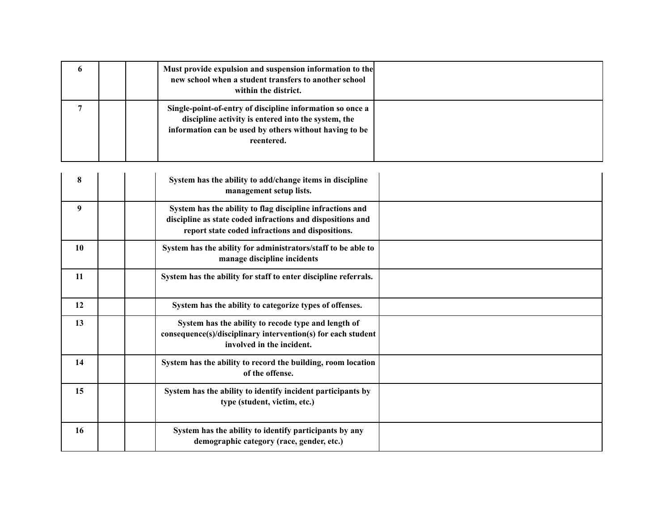| $\mathbf o$ |  | Must provide expulsion and suspension information to the<br>new school when a student transfers to another school<br>within the district.                                                |  |
|-------------|--|------------------------------------------------------------------------------------------------------------------------------------------------------------------------------------------|--|
|             |  | Single-point-of-entry of discipline information so once a<br>discipline activity is entered into the system, the<br>information can be used by others without having to be<br>reentered. |  |

| 8  | System has the ability to add/change items in discipline<br>management setup lists.                                                                                         |  |
|----|-----------------------------------------------------------------------------------------------------------------------------------------------------------------------------|--|
| 9  | System has the ability to flag discipline infractions and<br>discipline as state coded infractions and dispositions and<br>report state coded infractions and dispositions. |  |
| 10 | System has the ability for administrators/staff to be able to<br>manage discipline incidents                                                                                |  |
| 11 | System has the ability for staff to enter discipline referrals.                                                                                                             |  |
| 12 | System has the ability to categorize types of offenses.                                                                                                                     |  |
| 13 | System has the ability to recode type and length of<br>consequence(s)/disciplinary intervention(s) for each student<br>involved in the incident.                            |  |
| 14 | System has the ability to record the building, room location<br>of the offense.                                                                                             |  |
| 15 | System has the ability to identify incident participants by<br>type (student, victim, etc.)                                                                                 |  |
| 16 | System has the ability to identify participants by any<br>demographic category (race, gender, etc.)                                                                         |  |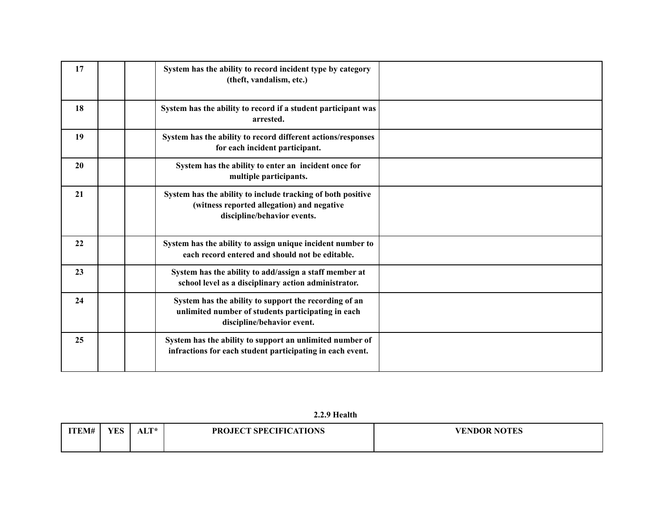| 17 | System has the ability to record incident type by category<br>(theft, vandalism, etc.)                                                    |  |
|----|-------------------------------------------------------------------------------------------------------------------------------------------|--|
| 18 | System has the ability to record if a student participant was<br>arrested.                                                                |  |
| 19 | System has the ability to record different actions/responses<br>for each incident participant.                                            |  |
| 20 | System has the ability to enter an incident once for<br>multiple participants.                                                            |  |
| 21 | System has the ability to include tracking of both positive<br>(witness reported allegation) and negative<br>discipline/behavior events.  |  |
| 22 | System has the ability to assign unique incident number to<br>each record entered and should not be editable.                             |  |
| 23 | System has the ability to add/assign a staff member at<br>school level as a disciplinary action administrator.                            |  |
| 24 | System has the ability to support the recording of an<br>unlimited number of students participating in each<br>discipline/behavior event. |  |
| 25 | System has the ability to support an unlimited number of<br>infractions for each student participating in each event.                     |  |

**2.2.9 Health**

| ITEM# | YES | T T +<br>31 J I | <b>PROJECT SPECIFICATIONS</b> | <b>VENDOR NOTES</b> |
|-------|-----|-----------------|-------------------------------|---------------------|
|       |     |                 |                               |                     |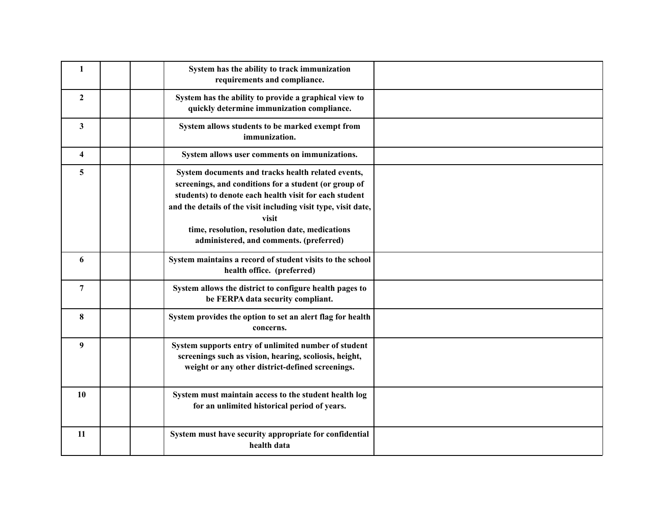| $\mathbf{1}$            | System has the ability to track immunization<br>requirements and compliance.                                                                                                                                                                                                                                                                  |  |
|-------------------------|-----------------------------------------------------------------------------------------------------------------------------------------------------------------------------------------------------------------------------------------------------------------------------------------------------------------------------------------------|--|
| $\overline{2}$          | System has the ability to provide a graphical view to<br>quickly determine immunization compliance.                                                                                                                                                                                                                                           |  |
| 3                       | System allows students to be marked exempt from<br>immunization.                                                                                                                                                                                                                                                                              |  |
| $\overline{\mathbf{4}}$ | System allows user comments on immunizations.                                                                                                                                                                                                                                                                                                 |  |
| 5.                      | System documents and tracks health related events,<br>screenings, and conditions for a student (or group of<br>students) to denote each health visit for each student<br>and the details of the visit including visit type, visit date,<br>visit<br>time, resolution, resolution date, medications<br>administered, and comments. (preferred) |  |
| 6                       | System maintains a record of student visits to the school<br>health office. (preferred)                                                                                                                                                                                                                                                       |  |
| 7                       | System allows the district to configure health pages to<br>be FERPA data security compliant.                                                                                                                                                                                                                                                  |  |
| 8                       | System provides the option to set an alert flag for health<br>concerns.                                                                                                                                                                                                                                                                       |  |
| 9                       | System supports entry of unlimited number of student<br>screenings such as vision, hearing, scoliosis, height,<br>weight or any other district-defined screenings.                                                                                                                                                                            |  |
| 10                      | System must maintain access to the student health log<br>for an unlimited historical period of years.                                                                                                                                                                                                                                         |  |
| 11                      | System must have security appropriate for confidential<br>health data                                                                                                                                                                                                                                                                         |  |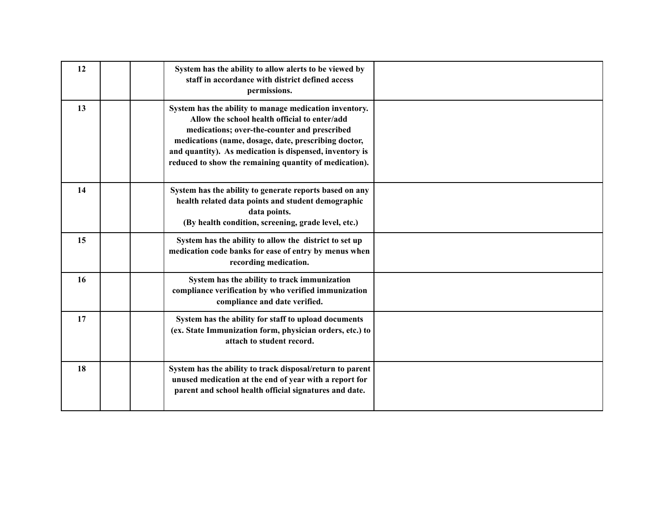| 12 | System has the ability to allow alerts to be viewed by<br>staff in accordance with district defined access<br>permissions.                                                                                                                                                                                                           |  |
|----|--------------------------------------------------------------------------------------------------------------------------------------------------------------------------------------------------------------------------------------------------------------------------------------------------------------------------------------|--|
| 13 | System has the ability to manage medication inventory.<br>Allow the school health official to enter/add<br>medications; over-the-counter and prescribed<br>medications (name, dosage, date, prescribing doctor,<br>and quantity). As medication is dispensed, inventory is<br>reduced to show the remaining quantity of medication). |  |
| 14 | System has the ability to generate reports based on any<br>health related data points and student demographic<br>data points.<br>(By health condition, screening, grade level, etc.)                                                                                                                                                 |  |
| 15 | System has the ability to allow the district to set up<br>medication code banks for ease of entry by menus when<br>recording medication.                                                                                                                                                                                             |  |
| 16 | System has the ability to track immunization<br>compliance verification by who verified immunization<br>compliance and date verified.                                                                                                                                                                                                |  |
| 17 | System has the ability for staff to upload documents<br>(ex. State Immunization form, physician orders, etc.) to<br>attach to student record.                                                                                                                                                                                        |  |
| 18 | System has the ability to track disposal/return to parent<br>unused medication at the end of year with a report for<br>parent and school health official signatures and date.                                                                                                                                                        |  |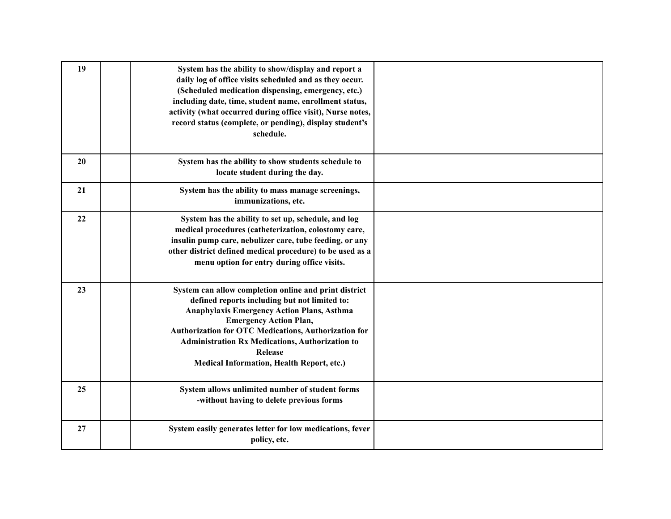| 19 | System has the ability to show/display and report a<br>daily log of office visits scheduled and as they occur.<br>(Scheduled medication dispensing, emergency, etc.)<br>including date, time, student name, enrollment status,<br>activity (what occurred during office visit), Nurse notes,<br>record status (complete, or pending), display student's<br>schedule.          |  |
|----|-------------------------------------------------------------------------------------------------------------------------------------------------------------------------------------------------------------------------------------------------------------------------------------------------------------------------------------------------------------------------------|--|
| 20 | System has the ability to show students schedule to<br>locate student during the day.                                                                                                                                                                                                                                                                                         |  |
| 21 | System has the ability to mass manage screenings,<br>immunizations, etc.                                                                                                                                                                                                                                                                                                      |  |
| 22 | System has the ability to set up, schedule, and log<br>medical procedures (catheterization, colostomy care,<br>insulin pump care, nebulizer care, tube feeding, or any<br>other district defined medical procedure) to be used as a<br>menu option for entry during office visits.                                                                                            |  |
| 23 | System can allow completion online and print district<br>defined reports including but not limited to:<br><b>Anaphylaxis Emergency Action Plans, Asthma</b><br><b>Emergency Action Plan,</b><br>Authorization for OTC Medications, Authorization for<br><b>Administration Rx Medications, Authorization to</b><br>Release<br><b>Medical Information, Health Report, etc.)</b> |  |
| 25 | System allows unlimited number of student forms<br>-without having to delete previous forms                                                                                                                                                                                                                                                                                   |  |
| 27 | System easily generates letter for low medications, fever<br>policy, etc.                                                                                                                                                                                                                                                                                                     |  |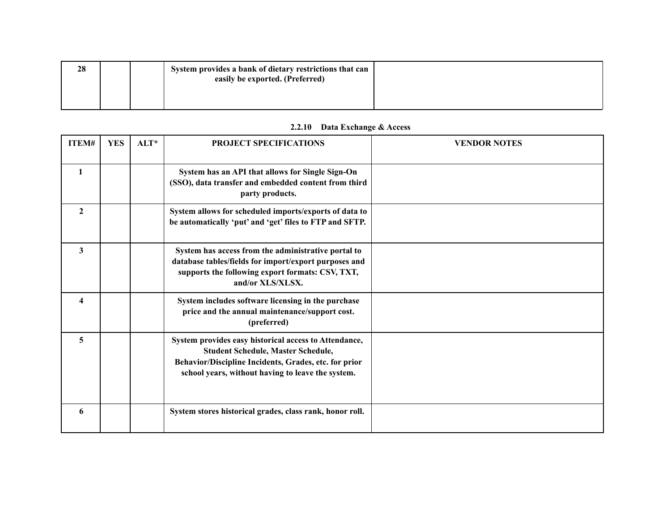| 28 |  | System provides a bank of dietary restrictions that can |  |
|----|--|---------------------------------------------------------|--|
|    |  | easily be exported. (Preferred)                         |  |
|    |  |                                                         |  |

## **2.2.10 Data Exchange & Access**

| ITEM#                   | <b>YES</b> | $ALT^*$ | <b>PROJECT SPECIFICATIONS</b>                                                                                                                                                                                    | <b>VENDOR NOTES</b> |
|-------------------------|------------|---------|------------------------------------------------------------------------------------------------------------------------------------------------------------------------------------------------------------------|---------------------|
| 1                       |            |         | System has an API that allows for Single Sign-On<br>(SSO), data transfer and embedded content from third<br>party products.                                                                                      |                     |
| $\mathbf{2}$            |            |         | System allows for scheduled imports/exports of data to<br>be automatically 'put' and 'get' files to FTP and SFTP.                                                                                                |                     |
| 3                       |            |         | System has access from the administrative portal to<br>database tables/fields for import/export purposes and<br>supports the following export formats: CSV, TXT,<br>and/or XLS/XLSX.                             |                     |
| $\overline{\mathbf{4}}$ |            |         | System includes software licensing in the purchase<br>price and the annual maintenance/support cost.<br>(preferred)                                                                                              |                     |
| 5                       |            |         | System provides easy historical access to Attendance,<br><b>Student Schedule, Master Schedule,</b><br>Behavior/Discipline Incidents, Grades, etc. for prior<br>school years, without having to leave the system. |                     |
| 6                       |            |         | System stores historical grades, class rank, honor roll.                                                                                                                                                         |                     |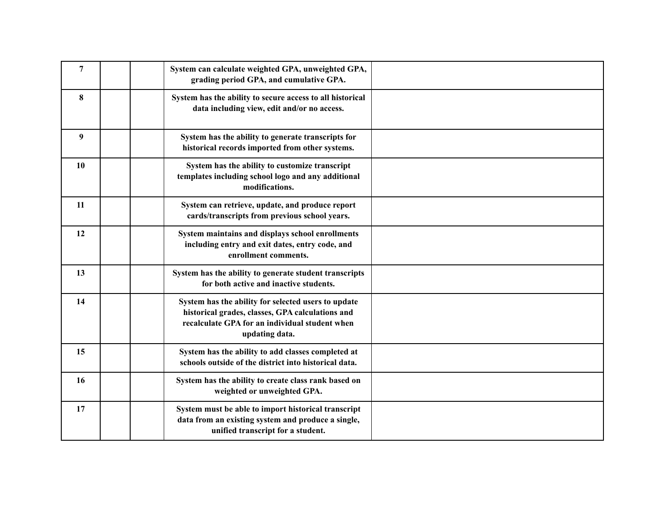| $\overline{7}$ | System can calculate weighted GPA, unweighted GPA,<br>grading period GPA, and cumulative GPA.                                                                               |  |
|----------------|-----------------------------------------------------------------------------------------------------------------------------------------------------------------------------|--|
| 8              | System has the ability to secure access to all historical<br>data including view, edit and/or no access.                                                                    |  |
| 9              | System has the ability to generate transcripts for<br>historical records imported from other systems.                                                                       |  |
| 10             | System has the ability to customize transcript<br>templates including school logo and any additional<br>modifications.                                                      |  |
| 11             | System can retrieve, update, and produce report<br>cards/transcripts from previous school years.                                                                            |  |
| 12             | System maintains and displays school enrollments<br>including entry and exit dates, entry code, and<br>enrollment comments.                                                 |  |
| 13             | System has the ability to generate student transcripts<br>for both active and inactive students.                                                                            |  |
| 14             | System has the ability for selected users to update<br>historical grades, classes, GPA calculations and<br>recalculate GPA for an individual student when<br>updating data. |  |
| 15             | System has the ability to add classes completed at<br>schools outside of the district into historical data.                                                                 |  |
| 16             | System has the ability to create class rank based on<br>weighted or unweighted GPA.                                                                                         |  |
| 17             | System must be able to import historical transcript<br>data from an existing system and produce a single,<br>unified transcript for a student.                              |  |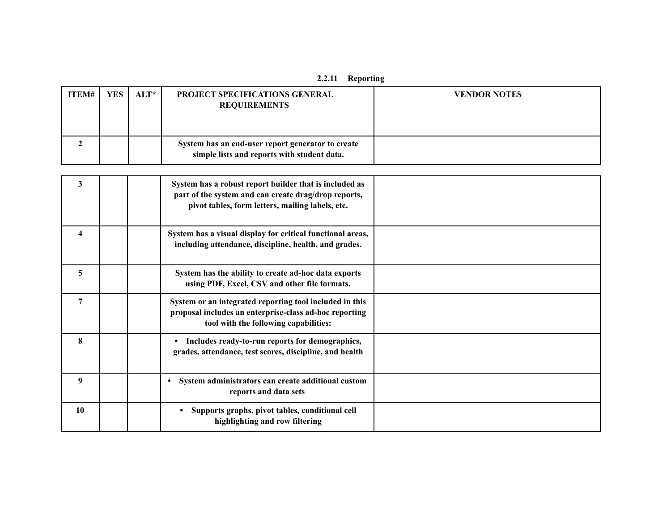| ITEM# | YES | $\vert$ ALT* $\vert$ | <b>PROJECT SPECIFICATIONS GENERAL</b><br><b>REQUIREMENTS</b>                                     | <b>VENDOR NOTES</b> |
|-------|-----|----------------------|--------------------------------------------------------------------------------------------------|---------------------|
|       |     |                      | System has an end-user report generator to create<br>simple lists and reports with student data. |                     |

| 3                       | System has a robust report builder that is included as<br>part of the system and can create drag/drop reports,<br>pivot tables, form letters, mailing labels, etc. |  |
|-------------------------|--------------------------------------------------------------------------------------------------------------------------------------------------------------------|--|
| $\overline{\mathbf{4}}$ | System has a visual display for critical functional areas,<br>including attendance, discipline, health, and grades.                                                |  |
| 5                       | System has the ability to create ad-hoc data exports<br>using PDF, Excel, CSV and other file formats.                                                              |  |
| 7                       | System or an integrated reporting tool included in this<br>proposal includes an enterprise-class ad-hoc reporting<br>tool with the following capabilities:         |  |
| 8                       | Includes ready-to-run reports for demographics,<br>grades, attendance, test scores, discipline, and health                                                         |  |
| 9                       | System administrators can create additional custom<br>reports and data sets                                                                                        |  |
| 10                      | Supports graphs, pivot tables, conditional cell<br>$\bullet$<br>highlighting and row filtering                                                                     |  |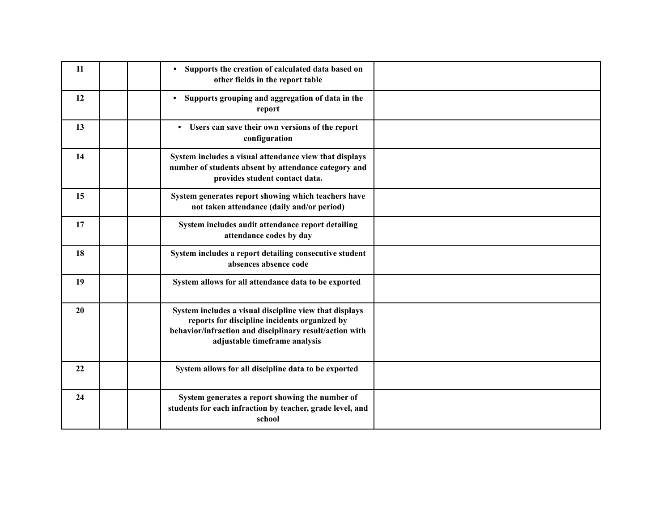| 11 | Supports the creation of calculated data based on<br>$\bullet$<br>other fields in the report table                                                                                                  |  |
|----|-----------------------------------------------------------------------------------------------------------------------------------------------------------------------------------------------------|--|
| 12 | Supports grouping and aggregation of data in the<br>$\bullet$<br>report                                                                                                                             |  |
| 13 | • Users can save their own versions of the report<br>configuration                                                                                                                                  |  |
| 14 | System includes a visual attendance view that displays<br>number of students absent by attendance category and<br>provides student contact data.                                                    |  |
| 15 | System generates report showing which teachers have<br>not taken attendance (daily and/or period)                                                                                                   |  |
| 17 | System includes audit attendance report detailing<br>attendance codes by day                                                                                                                        |  |
| 18 | System includes a report detailing consecutive student<br>absences absence code                                                                                                                     |  |
| 19 | System allows for all attendance data to be exported                                                                                                                                                |  |
| 20 | System includes a visual discipline view that displays<br>reports for discipline incidents organized by<br>behavior/infraction and disciplinary result/action with<br>adjustable timeframe analysis |  |
| 22 | System allows for all discipline data to be exported                                                                                                                                                |  |
| 24 | System generates a report showing the number of<br>students for each infraction by teacher, grade level, and<br>school                                                                              |  |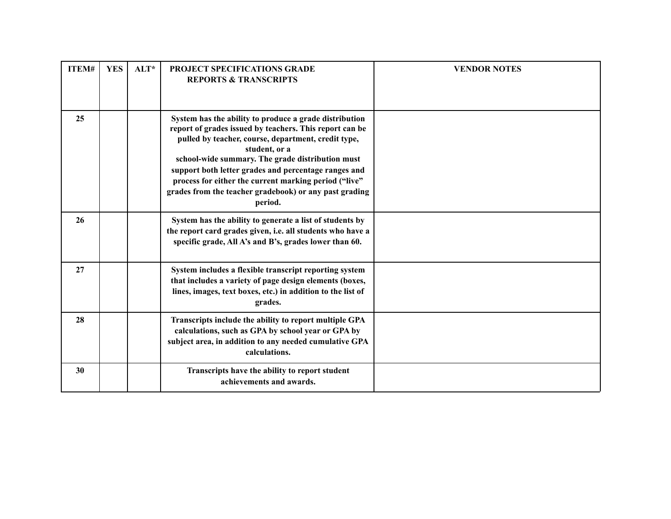| ITEM# | <b>YES</b> | $ALT^*$ | <b>PROJECT SPECIFICATIONS GRADE</b><br><b>REPORTS &amp; TRANSCRIPTS</b>                                                                                                                                                                                                                                                                                                                                                             | <b>VENDOR NOTES</b> |
|-------|------------|---------|-------------------------------------------------------------------------------------------------------------------------------------------------------------------------------------------------------------------------------------------------------------------------------------------------------------------------------------------------------------------------------------------------------------------------------------|---------------------|
| 25    |            |         | System has the ability to produce a grade distribution<br>report of grades issued by teachers. This report can be<br>pulled by teacher, course, department, credit type,<br>student, or a<br>school-wide summary. The grade distribution must<br>support both letter grades and percentage ranges and<br>process for either the current marking period ("live"<br>grades from the teacher gradebook) or any past grading<br>period. |                     |
| 26    |            |         | System has the ability to generate a list of students by<br>the report card grades given, i.e. all students who have a<br>specific grade, All A's and B's, grades lower than 60.                                                                                                                                                                                                                                                    |                     |
| 27    |            |         | System includes a flexible transcript reporting system<br>that includes a variety of page design elements (boxes,<br>lines, images, text boxes, etc.) in addition to the list of<br>grades.                                                                                                                                                                                                                                         |                     |
| 28    |            |         | Transcripts include the ability to report multiple GPA<br>calculations, such as GPA by school year or GPA by<br>subject area, in addition to any needed cumulative GPA<br>calculations.                                                                                                                                                                                                                                             |                     |
| 30    |            |         | Transcripts have the ability to report student<br>achievements and awards.                                                                                                                                                                                                                                                                                                                                                          |                     |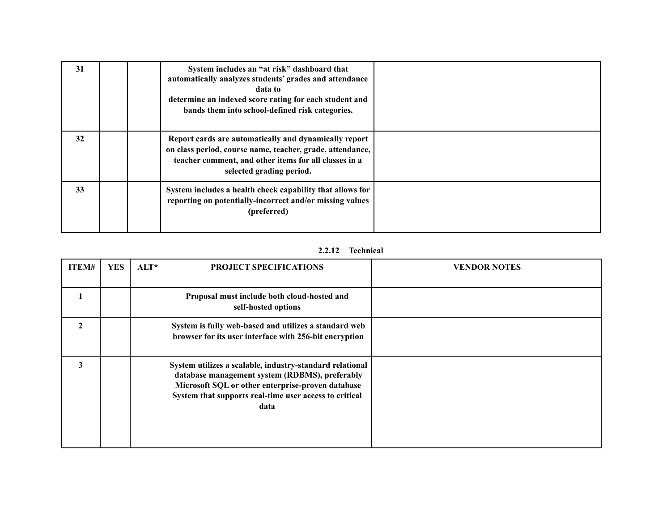| 31 | System includes an "at risk" dashboard that<br>automatically analyzes students' grades and attendance<br>data to<br>determine an indexed score rating for each student and<br>bands them into school-defined risk categories. |  |
|----|-------------------------------------------------------------------------------------------------------------------------------------------------------------------------------------------------------------------------------|--|
| 32 | Report cards are automatically and dynamically report<br>on class period, course name, teacher, grade, attendance,<br>teacher comment, and other items for all classes in a<br>selected grading period.                       |  |
| 33 | System includes a health check capability that allows for<br>reporting on potentially-incorrect and/or missing values<br>(preferred)                                                                                          |  |

## **2.2.12 Technical**

| ITEM#          | <b>YES</b> | $ALT^*$ | <b>PROJECT SPECIFICATIONS</b>                                                                                                                                                                                                     | <b>VENDOR NOTES</b> |
|----------------|------------|---------|-----------------------------------------------------------------------------------------------------------------------------------------------------------------------------------------------------------------------------------|---------------------|
|                |            |         | Proposal must include both cloud-hosted and<br>self-hosted options                                                                                                                                                                |                     |
| $\overline{2}$ |            |         | System is fully web-based and utilizes a standard web<br>browser for its user interface with 256-bit encryption                                                                                                                   |                     |
| 3              |            |         | System utilizes a scalable, industry-standard relational<br>database management system (RDBMS), preferably<br>Microsoft SQL or other enterprise-proven database<br>System that supports real-time user access to critical<br>data |                     |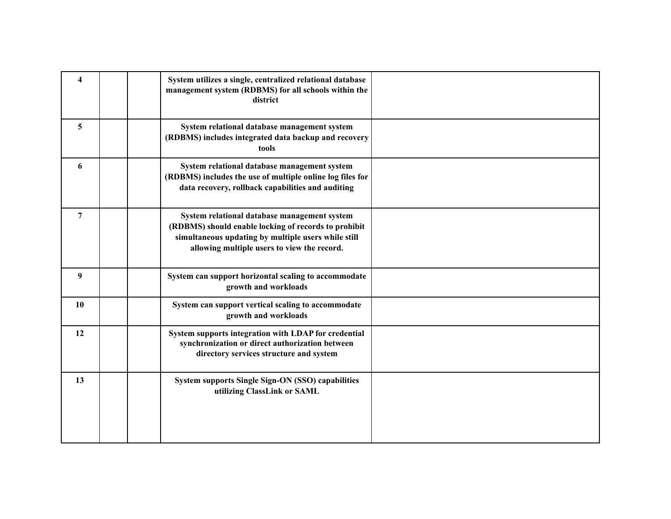| 4  | System utilizes a single, centralized relational database<br>management system (RDBMS) for all schools within the<br>district                                                                              |  |
|----|------------------------------------------------------------------------------------------------------------------------------------------------------------------------------------------------------------|--|
| 5  | System relational database management system<br>(RDBMS) includes integrated data backup and recovery<br>tools                                                                                              |  |
| 6  | System relational database management system<br>(RDBMS) includes the use of multiple online log files for<br>data recovery, rollback capabilities and auditing                                             |  |
| 7  | System relational database management system<br>(RDBMS) should enable locking of records to prohibit<br>simultaneous updating by multiple users while still<br>allowing multiple users to view the record. |  |
| 9  | System can support horizontal scaling to accommodate<br>growth and workloads                                                                                                                               |  |
| 10 | System can support vertical scaling to accommodate<br>growth and workloads                                                                                                                                 |  |
| 12 | System supports integration with LDAP for credential<br>synchronization or direct authorization between<br>directory services structure and system                                                         |  |
| 13 | System supports Single Sign-ON (SSO) capabilities<br>utilizing ClassLink or SAML                                                                                                                           |  |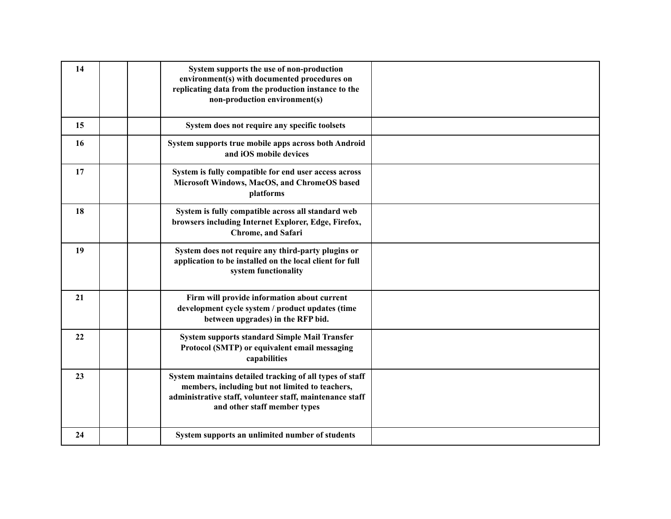| 14 | System supports the use of non-production<br>environment(s) with documented procedures on<br>replicating data from the production instance to the<br>non-production environment(s)                      |  |
|----|---------------------------------------------------------------------------------------------------------------------------------------------------------------------------------------------------------|--|
| 15 | System does not require any specific toolsets                                                                                                                                                           |  |
| 16 | System supports true mobile apps across both Android<br>and iOS mobile devices                                                                                                                          |  |
| 17 | System is fully compatible for end user access across<br>Microsoft Windows, MacOS, and ChromeOS based<br>platforms                                                                                      |  |
| 18 | System is fully compatible across all standard web<br>browsers including Internet Explorer, Edge, Firefox,<br><b>Chrome, and Safari</b>                                                                 |  |
| 19 | System does not require any third-party plugins or<br>application to be installed on the local client for full<br>system functionality                                                                  |  |
| 21 | Firm will provide information about current<br>development cycle system / product updates (time<br>between upgrades) in the RFP bid.                                                                    |  |
| 22 | <b>System supports standard Simple Mail Transfer</b><br>Protocol (SMTP) or equivalent email messaging<br>capabilities                                                                                   |  |
| 23 | System maintains detailed tracking of all types of staff<br>members, including but not limited to teachers,<br>administrative staff, volunteer staff, maintenance staff<br>and other staff member types |  |
| 24 | System supports an unlimited number of students                                                                                                                                                         |  |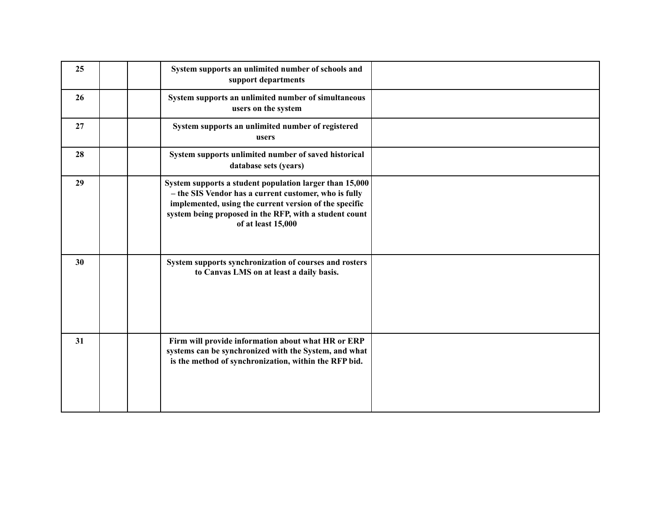| 25 | System supports an unlimited number of schools and<br>support departments                                                                                                                                                                                  |  |
|----|------------------------------------------------------------------------------------------------------------------------------------------------------------------------------------------------------------------------------------------------------------|--|
| 26 | System supports an unlimited number of simultaneous<br>users on the system                                                                                                                                                                                 |  |
| 27 | System supports an unlimited number of registered<br>users                                                                                                                                                                                                 |  |
| 28 | System supports unlimited number of saved historical<br>database sets (years)                                                                                                                                                                              |  |
| 29 | System supports a student population larger than 15,000<br>- the SIS Vendor has a current customer, who is fully<br>implemented, using the current version of the specific<br>system being proposed in the RFP, with a student count<br>of at least 15,000 |  |
| 30 | System supports synchronization of courses and rosters<br>to Canvas LMS on at least a daily basis.                                                                                                                                                         |  |
| 31 | Firm will provide information about what HR or ERP<br>systems can be synchronized with the System, and what<br>is the method of synchronization, within the RFP bid.                                                                                       |  |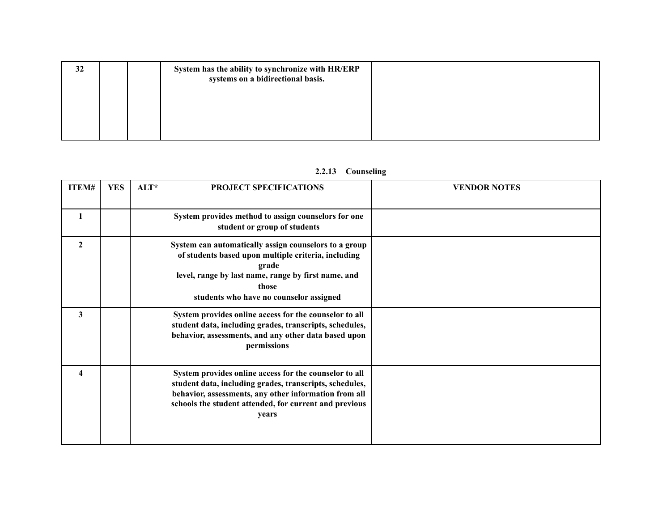| 32 |  | System has the ability to synchronize with HR/ERP<br>systems on a bidirectional basis. |  |
|----|--|----------------------------------------------------------------------------------------|--|
|    |  |                                                                                        |  |
|    |  |                                                                                        |  |

# **2.2.13 Counseling**

| ITEM#          | <b>YES</b> | $ALT^*$ | PROJECT SPECIFICATIONS                                                                                                                                                                                                                        | <b>VENDOR NOTES</b> |
|----------------|------------|---------|-----------------------------------------------------------------------------------------------------------------------------------------------------------------------------------------------------------------------------------------------|---------------------|
| 1              |            |         | System provides method to assign counselors for one<br>student or group of students                                                                                                                                                           |                     |
| $\overline{2}$ |            |         | System can automatically assign counselors to a group<br>of students based upon multiple criteria, including<br>grade<br>level, range by last name, range by first name, and<br>those<br>students who have no counselor assigned              |                     |
| 3              |            |         | System provides online access for the counselor to all<br>student data, including grades, transcripts, schedules,<br>behavior, assessments, and any other data based upon<br>permissions                                                      |                     |
| 4              |            |         | System provides online access for the counselor to all<br>student data, including grades, transcripts, schedules,<br>behavior, assessments, any other information from all<br>schools the student attended, for current and previous<br>years |                     |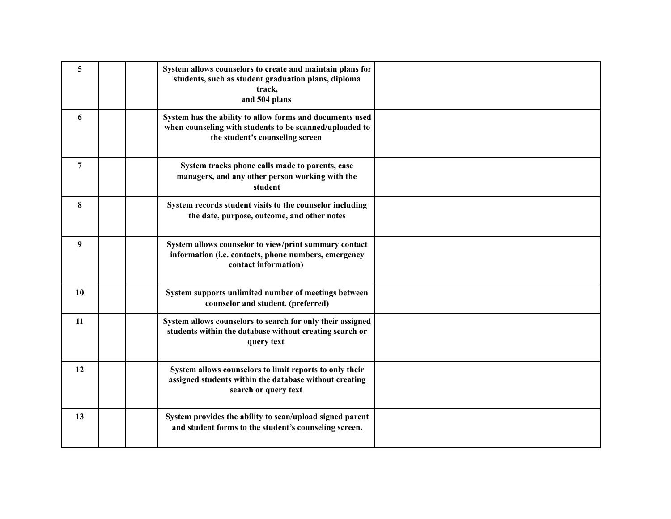| 5  | System allows counselors to create and maintain plans for<br>students, such as student graduation plans, diploma<br>track,<br>and 504 plans            |  |
|----|--------------------------------------------------------------------------------------------------------------------------------------------------------|--|
| 6  | System has the ability to allow forms and documents used<br>when counseling with students to be scanned/uploaded to<br>the student's counseling screen |  |
| 7  | System tracks phone calls made to parents, case<br>managers, and any other person working with the<br>student                                          |  |
| 8  | System records student visits to the counselor including<br>the date, purpose, outcome, and other notes                                                |  |
| 9  | System allows counselor to view/print summary contact<br>information (i.e. contacts, phone numbers, emergency<br>contact information)                  |  |
| 10 | System supports unlimited number of meetings between<br>counselor and student. (preferred)                                                             |  |
| 11 | System allows counselors to search for only their assigned<br>students within the database without creating search or<br>query text                    |  |
| 12 | System allows counselors to limit reports to only their<br>assigned students within the database without creating<br>search or query text              |  |
| 13 | System provides the ability to scan/upload signed parent<br>and student forms to the student's counseling screen.                                      |  |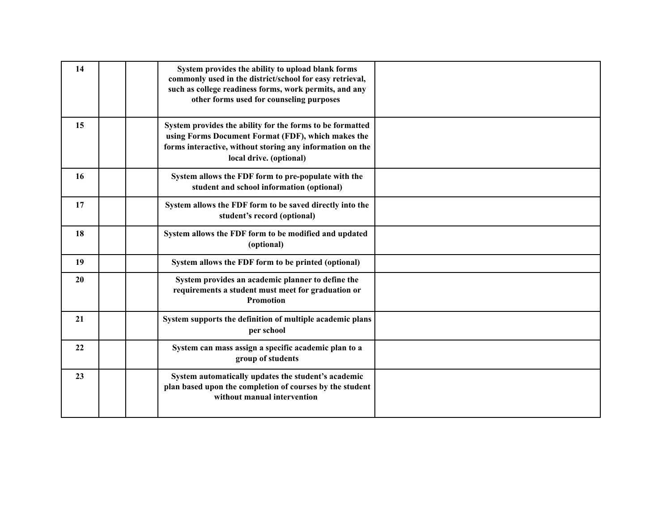| 14 | System provides the ability to upload blank forms<br>commonly used in the district/school for easy retrieval,<br>such as college readiness forms, work permits, and any<br>other forms used for counseling purposes |  |
|----|---------------------------------------------------------------------------------------------------------------------------------------------------------------------------------------------------------------------|--|
| 15 | System provides the ability for the forms to be formatted<br>using Forms Document Format (FDF), which makes the<br>forms interactive, without storing any information on the<br>local drive. (optional)             |  |
| 16 | System allows the FDF form to pre-populate with the<br>student and school information (optional)                                                                                                                    |  |
| 17 | System allows the FDF form to be saved directly into the<br>student's record (optional)                                                                                                                             |  |
| 18 | System allows the FDF form to be modified and updated<br>(optional)                                                                                                                                                 |  |
| 19 | System allows the FDF form to be printed (optional)                                                                                                                                                                 |  |
| 20 | System provides an academic planner to define the<br>requirements a student must meet for graduation or<br><b>Promotion</b>                                                                                         |  |
| 21 | System supports the definition of multiple academic plans<br>per school                                                                                                                                             |  |
| 22 | System can mass assign a specific academic plan to a<br>group of students                                                                                                                                           |  |
| 23 | System automatically updates the student's academic<br>plan based upon the completion of courses by the student<br>without manual intervention                                                                      |  |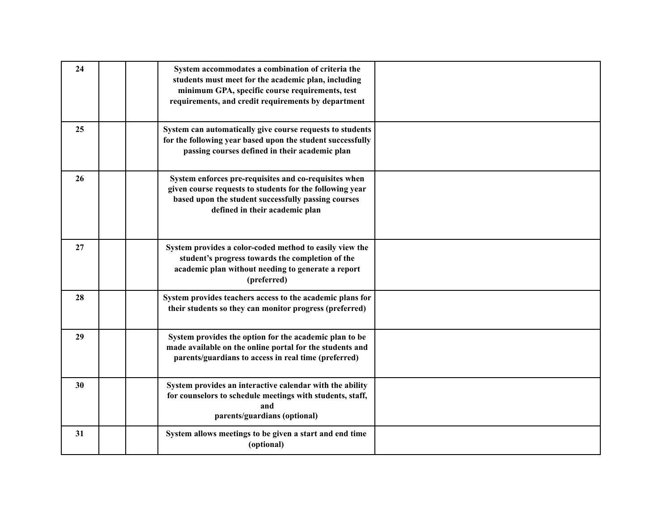| 24 | System accommodates a combination of criteria the<br>students must meet for the academic plan, including<br>minimum GPA, specific course requirements, test<br>requirements, and credit requirements by department |  |
|----|--------------------------------------------------------------------------------------------------------------------------------------------------------------------------------------------------------------------|--|
| 25 | System can automatically give course requests to students<br>for the following year based upon the student successfully<br>passing courses defined in their academic plan                                          |  |
| 26 | System enforces pre-requisites and co-requisites when<br>given course requests to students for the following year<br>based upon the student successfully passing courses<br>defined in their academic plan         |  |
| 27 | System provides a color-coded method to easily view the<br>student's progress towards the completion of the<br>academic plan without needing to generate a report<br>(preferred)                                   |  |
| 28 | System provides teachers access to the academic plans for<br>their students so they can monitor progress (preferred)                                                                                               |  |
| 29 | System provides the option for the academic plan to be<br>made available on the online portal for the students and<br>parents/guardians to access in real time (preferred)                                         |  |
| 30 | System provides an interactive calendar with the ability<br>for counselors to schedule meetings with students, staff,<br>and<br>parents/guardians (optional)                                                       |  |
| 31 | System allows meetings to be given a start and end time<br>(optional)                                                                                                                                              |  |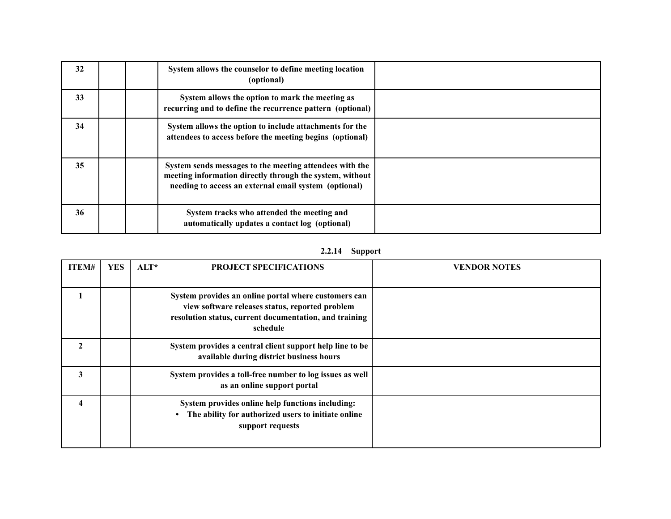| 32 |  | System allows the counselor to define meeting location<br>(optional)                                                                                                         |  |
|----|--|------------------------------------------------------------------------------------------------------------------------------------------------------------------------------|--|
| 33 |  | System allows the option to mark the meeting as<br>recurring and to define the recurrence pattern (optional)                                                                 |  |
| 34 |  | System allows the option to include attachments for the<br>attendees to access before the meeting begins (optional)                                                          |  |
| 35 |  | System sends messages to the meeting attendees with the<br>meeting information directly through the system, without<br>needing to access an external email system (optional) |  |
| 36 |  | System tracks who attended the meeting and<br>automatically updates a contact log (optional)                                                                                 |  |

# **2.2.14 Support**

| ITEM#            | <b>YES</b> | $ALT^*$ | <b>PROJECT SPECIFICATIONS</b>                                                                                                                                                 | <b>VENDOR NOTES</b> |
|------------------|------------|---------|-------------------------------------------------------------------------------------------------------------------------------------------------------------------------------|---------------------|
|                  |            |         | System provides an online portal where customers can<br>view software releases status, reported problem<br>resolution status, current documentation, and training<br>schedule |                     |
| $\mathbf{2}$     |            |         | System provides a central client support help line to be<br>available during district business hours                                                                          |                     |
| 3                |            |         | System provides a toll-free number to log issues as well<br>as an online support portal                                                                                       |                     |
| $\boldsymbol{4}$ |            |         | System provides online help functions including:<br>The ability for authorized users to initiate online<br>support requests                                                   |                     |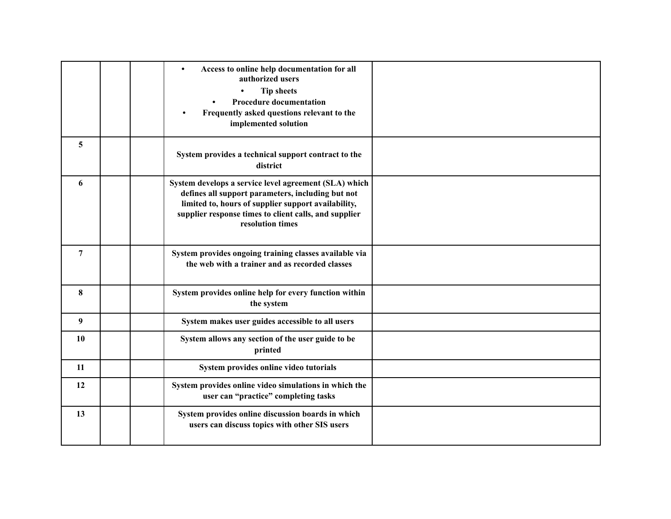|                | Access to online help documentation for all<br>$\bullet$<br>authorized users<br><b>Tip sheets</b><br><b>Procedure documentation</b><br>Frequently asked questions relevant to the<br>implemented solution                                      |  |
|----------------|------------------------------------------------------------------------------------------------------------------------------------------------------------------------------------------------------------------------------------------------|--|
| 5              | System provides a technical support contract to the<br>district                                                                                                                                                                                |  |
| 6              | System develops a service level agreement (SLA) which<br>defines all support parameters, including but not<br>limited to, hours of supplier support availability,<br>supplier response times to client calls, and supplier<br>resolution times |  |
| $\overline{7}$ | System provides ongoing training classes available via<br>the web with a trainer and as recorded classes                                                                                                                                       |  |
| 8              | System provides online help for every function within<br>the system                                                                                                                                                                            |  |
| 9 <sup>°</sup> | System makes user guides accessible to all users                                                                                                                                                                                               |  |
| 10             | System allows any section of the user guide to be<br>printed                                                                                                                                                                                   |  |
| 11             | System provides online video tutorials                                                                                                                                                                                                         |  |
| 12             | System provides online video simulations in which the<br>user can "practice" completing tasks                                                                                                                                                  |  |
| 13             | System provides online discussion boards in which<br>users can discuss topics with other SIS users                                                                                                                                             |  |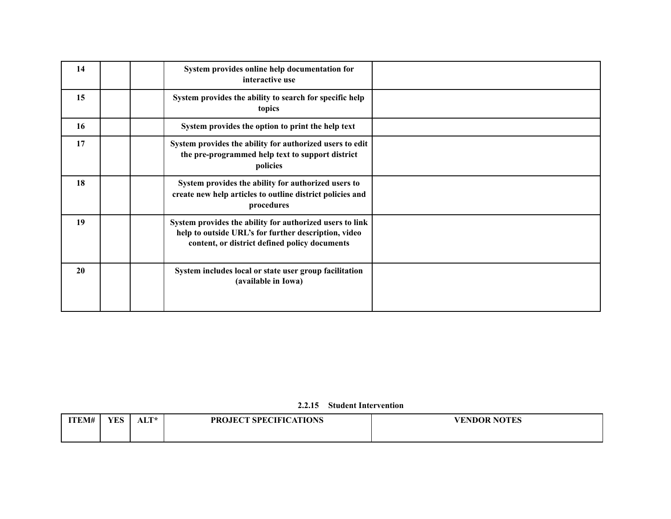| 14 | System provides online help documentation for<br>interactive use                                                                                                  |  |
|----|-------------------------------------------------------------------------------------------------------------------------------------------------------------------|--|
| 15 | System provides the ability to search for specific help<br>topics                                                                                                 |  |
| 16 | System provides the option to print the help text                                                                                                                 |  |
| 17 | System provides the ability for authorized users to edit<br>the pre-programmed help text to support district<br>policies                                          |  |
| 18 | System provides the ability for authorized users to<br>create new help articles to outline district policies and<br>procedures                                    |  |
| 19 | System provides the ability for authorized users to link<br>help to outside URL's for further description, video<br>content, or district defined policy documents |  |
| 20 | System includes local or state user group facilitation<br>(available in Iowa)                                                                                     |  |

## **2.2.15 Student Intervention**

| <b>ITEM#</b> | $\sigma$<br>1 L.D | ALT* | <b>PROJECT SPECIFICATIONS</b> | VENDOR NOTES |
|--------------|-------------------|------|-------------------------------|--------------|
|              |                   |      |                               |              |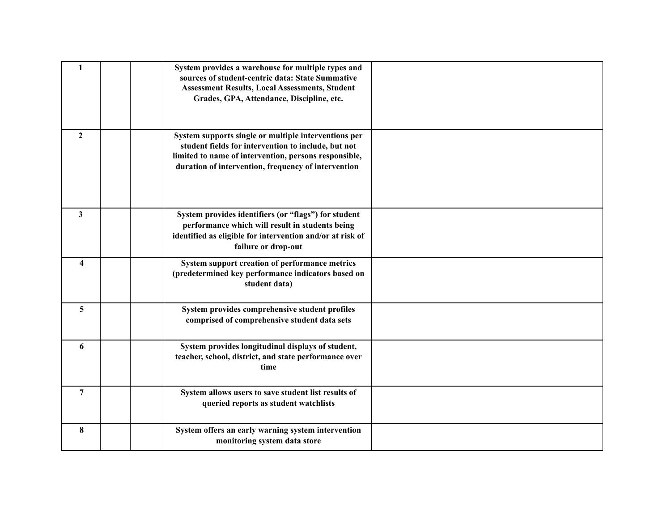| 1                       | System provides a warehouse for multiple types and<br>sources of student-centric data: State Summative<br><b>Assessment Results, Local Assessments, Student</b><br>Grades, GPA, Attendance, Discipline, etc.                |  |
|-------------------------|-----------------------------------------------------------------------------------------------------------------------------------------------------------------------------------------------------------------------------|--|
| $\overline{2}$          | System supports single or multiple interventions per<br>student fields for intervention to include, but not<br>limited to name of intervention, persons responsible,<br>duration of intervention, frequency of intervention |  |
| 3                       | System provides identifiers (or "flags") for student<br>performance which will result in students being<br>identified as eligible for intervention and/or at risk of<br>failure or drop-out                                 |  |
| $\overline{\mathbf{4}}$ | System support creation of performance metrics<br>(predetermined key performance indicators based on<br>student data)                                                                                                       |  |
| 5                       | System provides comprehensive student profiles<br>comprised of comprehensive student data sets                                                                                                                              |  |
| 6                       | System provides longitudinal displays of student,<br>teacher, school, district, and state performance over<br>time                                                                                                          |  |
| $\overline{7}$          | System allows users to save student list results of<br>queried reports as student watchlists                                                                                                                                |  |
| 8                       | System offers an early warning system intervention<br>monitoring system data store                                                                                                                                          |  |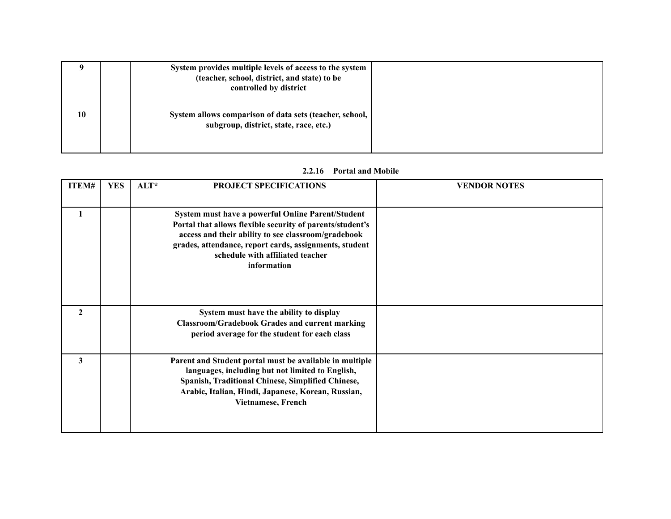|    |  | System provides multiple levels of access to the system<br>(teacher, school, district, and state) to be<br>controlled by district |  |
|----|--|-----------------------------------------------------------------------------------------------------------------------------------|--|
| 10 |  | System allows comparison of data sets (teacher, school,<br>subgroup, district, state, race, etc.)                                 |  |

## **2.2.16 Portal and Mobile**

| ITEM#        | <b>YES</b> | $ALT^*$ | <b>PROJECT SPECIFICATIONS</b>                                                                                                                                                                                                                                                      | <b>VENDOR NOTES</b> |
|--------------|------------|---------|------------------------------------------------------------------------------------------------------------------------------------------------------------------------------------------------------------------------------------------------------------------------------------|---------------------|
| 1            |            |         | System must have a powerful Online Parent/Student<br>Portal that allows flexible security of parents/student's<br>access and their ability to see classroom/gradebook<br>grades, attendance, report cards, assignments, student<br>schedule with affiliated teacher<br>information |                     |
| $\mathbf{2}$ |            |         | System must have the ability to display<br><b>Classroom/Gradebook Grades and current marking</b><br>period average for the student for each class                                                                                                                                  |                     |
| 3            |            |         | Parent and Student portal must be available in multiple<br>languages, including but not limited to English,<br>Spanish, Traditional Chinese, Simplified Chinese,<br>Arabic, Italian, Hindi, Japanese, Korean, Russian,<br><b>Vietnamese, French</b>                                |                     |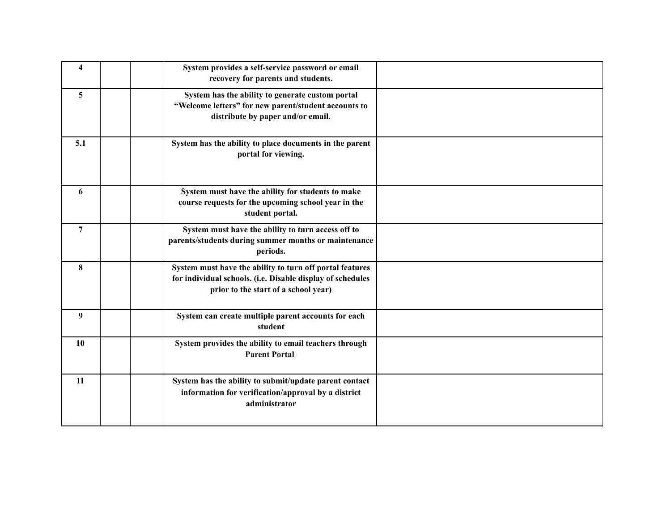| $\overline{\mathbf{4}}$ | System provides a self-service password or email<br>recovery for parents and students.                                                                         |  |
|-------------------------|----------------------------------------------------------------------------------------------------------------------------------------------------------------|--|
| 5                       | System has the ability to generate custom portal<br>"Welcome letters" for new parent/student accounts to<br>distribute by paper and/or email.                  |  |
| 5.1                     | System has the ability to place documents in the parent<br>portal for viewing.                                                                                 |  |
| 6                       | System must have the ability for students to make<br>course requests for the upcoming school year in the<br>student portal.                                    |  |
| $\overline{7}$          | System must have the ability to turn access off to<br>parents/students during summer months or maintenance<br>periods.                                         |  |
| 8                       | System must have the ability to turn off portal features<br>for individual schools. (i.e. Disable display of schedules<br>prior to the start of a school year) |  |
| 9                       | System can create multiple parent accounts for each<br>student                                                                                                 |  |
| 10                      | System provides the ability to email teachers through<br><b>Parent Portal</b>                                                                                  |  |
| 11                      | System has the ability to submit/update parent contact<br>information for verification/approval by a district<br>administrator                                 |  |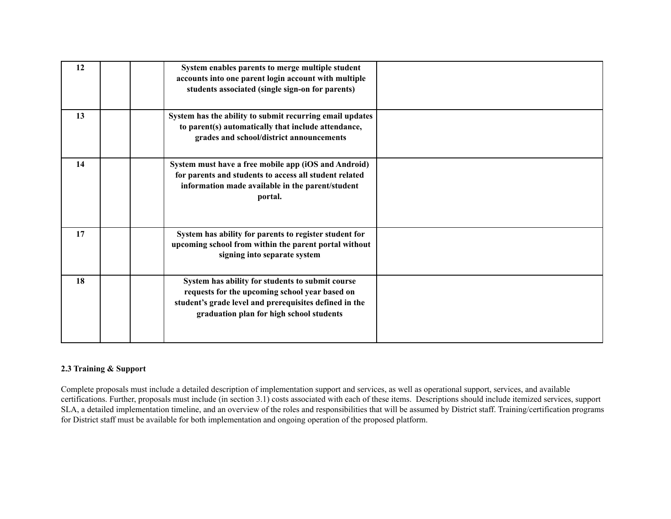| 12 | System enables parents to merge multiple student<br>accounts into one parent login account with multiple<br>students associated (single sign-on for parents)                                             |  |
|----|----------------------------------------------------------------------------------------------------------------------------------------------------------------------------------------------------------|--|
| 13 | System has the ability to submit recurring email updates<br>to parent(s) automatically that include attendance,<br>grades and school/district announcements                                              |  |
| 14 | System must have a free mobile app (iOS and Android)<br>for parents and students to access all student related<br>information made available in the parent/student<br>portal.                            |  |
| 17 | System has ability for parents to register student for<br>upcoming school from within the parent portal without<br>signing into separate system                                                          |  |
| 18 | System has ability for students to submit course<br>requests for the upcoming school year based on<br>student's grade level and prerequisites defined in the<br>graduation plan for high school students |  |

## **2.3 Training & Support**

 Complete proposals must include a detailed description of implementation support and services, as well as operational support, services, and available certifications. Further, proposals must include (in section 3.1) costs associated with each of these items. Descriptions should include itemized services, support SLA, a detailed implementation timeline, and an overview of the roles and responsibilities that will be assumed by District staff. Training/certification programs for District staff must be available for both implementation and ongoing operation of the proposed platform.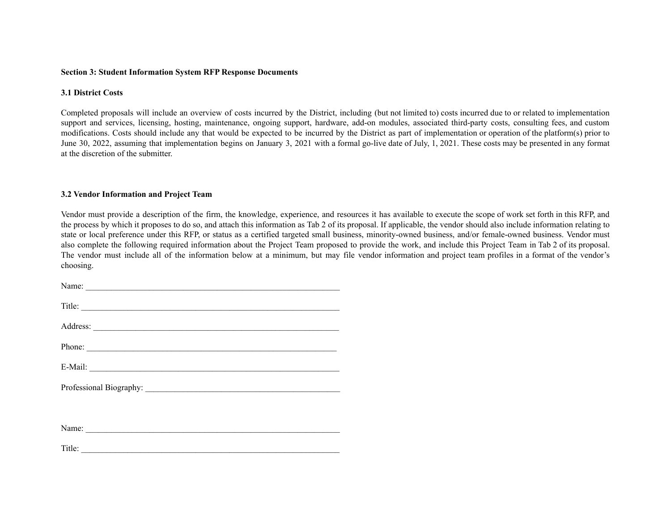#### **Section 3: Student Information System RFP Response Documents**

### **3.1 District Costs**

 at the discretion of the submitter. Completed proposals will include an overview of costs incurred by the District, including (but not limited to) costs incurred due to or related to implementation support and services, licensing, hosting, maintenance, ongoing support, hardware, add-on modules, associated third-party costs, consulting fees, and custom modifications. Costs should include any that would be expected to be incurred by the District as part of implementation or operation of the platform(s) prior to June 30, 2022, assuming that implementation begins on January 3, 2021 with a formal go-live date of July, 1, 2021. These costs may be presented in any format

#### **3.2 Vendor Information and Project Team**

Vendor must provide a description of the firm, the knowledge, experience, and resources it has available to execute the scope of work set forth in this RFP, and the process by which it proposes to do so, and attach this information as Tab 2 of its proposal. If applicable, the vendor should also include information relating to state or local preference under this RFP, or status as a certified targeted small business, minority-owned business, and/or female-owned business. Vendor must also complete the following required information about the Project Team proposed to provide the work, and include this Project Team in Tab 2 of its proposal. The vendor must include all of the information below at a minimum, but may file vendor information and project team profiles in a format of the vendor's choosing.

| Name:                                  |
|----------------------------------------|
|                                        |
| Title:                                 |
|                                        |
| Address: <u>Address:</u> Address: 2007 |
|                                        |
| Phone:                                 |
|                                        |
|                                        |
|                                        |
|                                        |
|                                        |
|                                        |
|                                        |
|                                        |
| Name:                                  |

Title: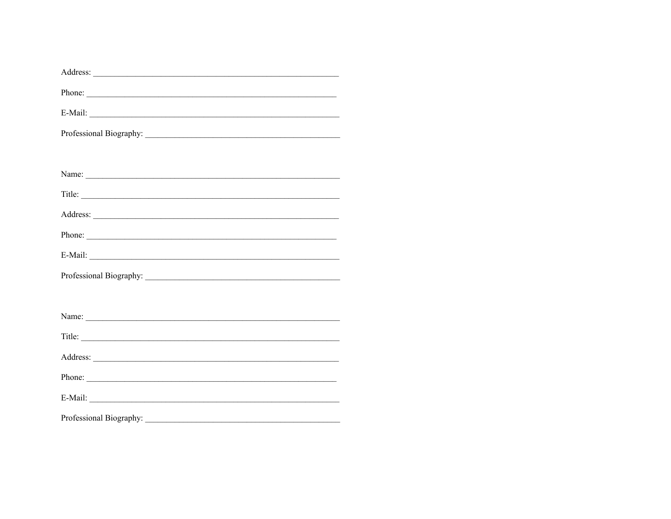| Address: <u>New York: Address:</u> New York: New York: New York: New York: New York: New York: New York: New York: New York: New York: New York: New York: New York: New York: New York: New York: New York: New York: New York: Ne |  |  |
|-------------------------------------------------------------------------------------------------------------------------------------------------------------------------------------------------------------------------------------|--|--|
| Phone:                                                                                                                                                                                                                              |  |  |
|                                                                                                                                                                                                                                     |  |  |
|                                                                                                                                                                                                                                     |  |  |
|                                                                                                                                                                                                                                     |  |  |
|                                                                                                                                                                                                                                     |  |  |
|                                                                                                                                                                                                                                     |  |  |
|                                                                                                                                                                                                                                     |  |  |
| Phone:                                                                                                                                                                                                                              |  |  |
|                                                                                                                                                                                                                                     |  |  |
|                                                                                                                                                                                                                                     |  |  |
|                                                                                                                                                                                                                                     |  |  |
|                                                                                                                                                                                                                                     |  |  |
|                                                                                                                                                                                                                                     |  |  |
|                                                                                                                                                                                                                                     |  |  |
| Phone:                                                                                                                                                                                                                              |  |  |
|                                                                                                                                                                                                                                     |  |  |
|                                                                                                                                                                                                                                     |  |  |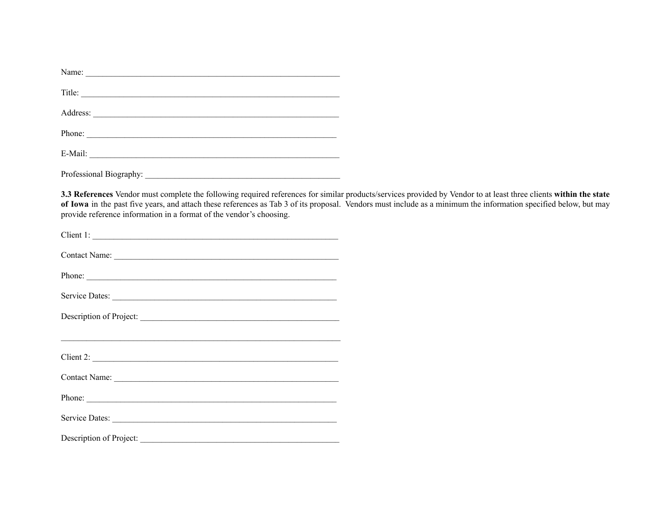| Title:                  |
|-------------------------|
|                         |
|                         |
| Phone:                  |
|                         |
| Professional Biography: |

 provide reference information in a format of the vendor's choosing. **3.3 References** Vendor must complete the following required references for similar products/services provided by Vendor to at least three clients **within the state of Iowa** in the past five years, and attach these references as Tab 3 of its proposal. Vendors must include as a minimum the information specified below, but may

| Client 1:               |  |
|-------------------------|--|
|                         |  |
|                         |  |
|                         |  |
| Description of Project: |  |
| $Client 2: \_$          |  |
|                         |  |
|                         |  |
| Service Dates:          |  |
| Description of Project: |  |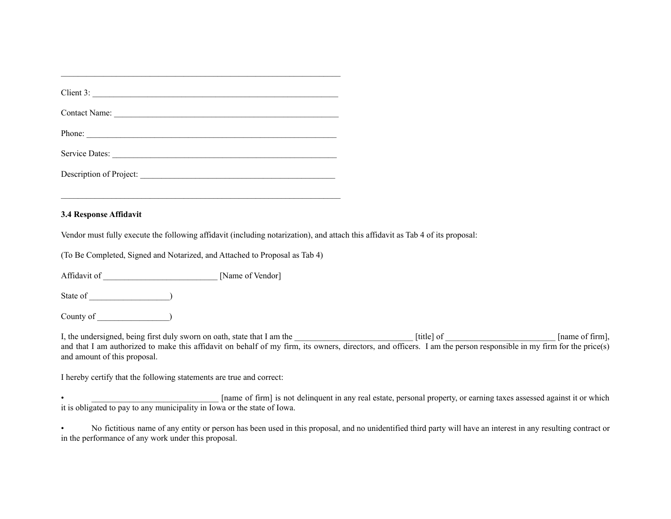| <u> 1989 - Johann Stoff, amerikansk politiker (d. 1989)</u><br>3.4 Response Affidavit                                                                                                                                                                            |                                                                                                                                                               |
|------------------------------------------------------------------------------------------------------------------------------------------------------------------------------------------------------------------------------------------------------------------|---------------------------------------------------------------------------------------------------------------------------------------------------------------|
| Vendor must fully execute the following affidavit (including notarization), and attach this affidavit as Tab 4 of its proposal:                                                                                                                                  |                                                                                                                                                               |
| (To Be Completed, Signed and Notarized, and Attached to Proposal as Tab 4)                                                                                                                                                                                       |                                                                                                                                                               |
|                                                                                                                                                                                                                                                                  |                                                                                                                                                               |
|                                                                                                                                                                                                                                                                  |                                                                                                                                                               |
|                                                                                                                                                                                                                                                                  |                                                                                                                                                               |
| I, the undersigned, being first duly sworn on oath, state that I am the<br>and that I am authorized to make this affidavit on behalf of my firm, its owners, directors, and officers. I am the person responsible in my firm for<br>and amount of this proposal. |                                                                                                                                                               |
| I hereby certify that the following statements are true and correct:                                                                                                                                                                                             |                                                                                                                                                               |
| • [name of firm] is not delinquent in any real estate, personal property, or earning taxes assessed against it or which it is obligated to pay to any municipality in Iowa or the state of Iowa.                                                                 |                                                                                                                                                               |
|                                                                                                                                                                                                                                                                  | No fictitious name of any entity or person has been used in this proposal, and no unidentified third party will have an interest in any resulting contract or |

 $\mathcal{L}_\text{max} = \mathcal{L}_\text{max} = \mathcal{L}_\text{max} = \mathcal{L}_\text{max} = \mathcal{L}_\text{max} = \mathcal{L}_\text{max} = \mathcal{L}_\text{max} = \mathcal{L}_\text{max} = \mathcal{L}_\text{max} = \mathcal{L}_\text{max} = \mathcal{L}_\text{max} = \mathcal{L}_\text{max} = \mathcal{L}_\text{max} = \mathcal{L}_\text{max} = \mathcal{L}_\text{max} = \mathcal{L}_\text{max} = \mathcal{L}_\text{max} = \mathcal{L}_\text{max} = \mathcal{$ 

in the performance of any work under this proposal.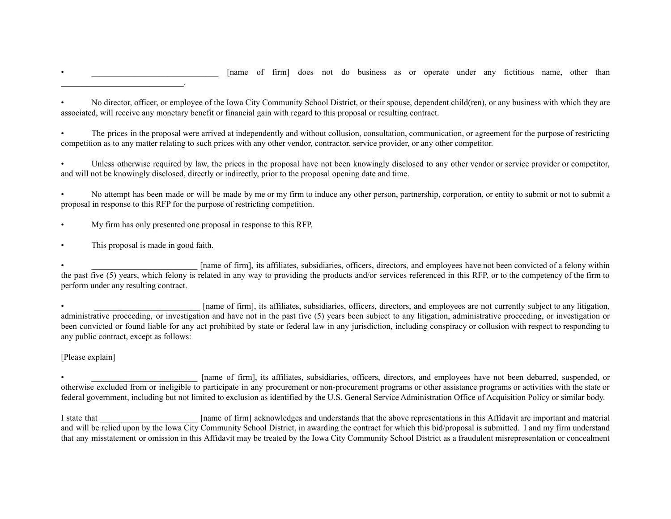• \_\_\_\_\_\_\_\_\_\_\_\_\_\_\_\_\_\_\_\_\_\_\_\_\_\_\_\_\_\_ [name of firm] does not do business as or operate under any fictitious name, other than

 associated, will receive any monetary benefit or financial gain with regard to this proposal or resulting contract. • No director, officer, or employee of the Iowa City Community School District, or their spouse, dependent child(ren), or any business with which they are

 competition as to any matter relating to such prices with any other vendor, contractor, service provider, or any other competitor. The prices in the proposal were arrived at independently and without collusion, consultation, communication, or agreement for the purpose of restricting

 and will not be knowingly disclosed, directly or indirectly, prior to the proposal opening date and time. Unless otherwise required by law, the prices in the proposal have not been knowingly disclosed to any other vendor or service provider or competitor,

 proposal in response to this RFP for the purpose of restricting competition. • No attempt has been made or will be made by me or my firm to induce any other person, partnership, corporation, or entity to submit or not to submit a

• My firm has only presented one proposal in response to this RFP.

• This proposal is made in good faith.

 $\mathcal{L}_\text{max}$  and  $\mathcal{L}_\text{max}$  and  $\mathcal{L}_\text{max}$  and  $\mathcal{L}_\text{max}$ 

 perform under any resulting contract. [name of firm], its affiliates, subsidiaries, officers, directors, and employees have not been convicted of a felony within the past five (5) years, which felony is related in any way to providing the products and/or services referenced in this RFP, or to the competency of the firm to

 any public contract, except as follows: [name of firm], its affiliates, subsidiaries, officers, directors, and employees are not currently subject to any litigation, administrative proceeding, or investigation and have not in the past five (5) years been subject to any litigation, administrative proceeding, or investigation or been convicted or found liable for any act prohibited by state or federal law in any jurisdiction, including conspiracy or collusion with respect to responding to

[Please explain]

 federal government, including but not limited to exclusion as identified by the U.S. General Service Administration Office of Acquisition Policy or similar body. [name of firm], its affiliates, subsidiaries, officers, directors, and employees have not been debarred, suspended, or otherwise excluded from or ineligible to participate in any procurement or non-procurement programs or other assistance programs or activities with the state or

I state that **I** state that **I** state that **I** state that the above representations in this Affidavit are important and material state the above representations in this Affidavit are important and material and will be relied upon by the Iowa City Community School District, in awarding the contract for which this bid/proposal is submitted. I and my firm understand that any misstatement or omission in this Affidavit may be treated by the Iowa City Community School District as a fraudulent misrepresentation or concealment